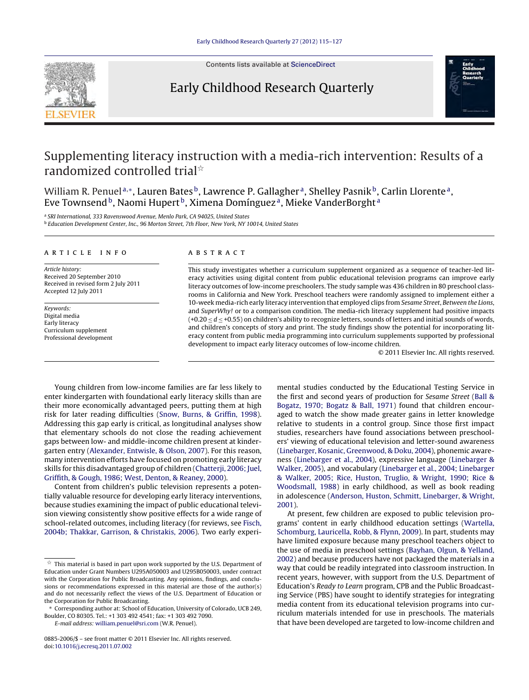

Contents lists available at [ScienceDirect](http://www.sciencedirect.com/science/journal/08852006)

# Early Childhood Research Quarterly



# Supplementing literacy instruction with a media-rich intervention: Results of a randomized controlled trial $\dot{\mathbf{z}}$

William R. Penuel<sup>a,∗</sup>, Lauren Bates<sup>b</sup>, Lawrence P. Gallagher<sup>a</sup>, Shelley Pasnik<sup>b</sup>, Carlin Llorente<sup>a</sup>, Eve Townsend<sup>b</sup>, Naomi Hupert<sup>b</sup>, Ximena Domínguez<sup>a</sup>, Mieke VanderBorght<sup>a</sup>

<sup>a</sup> SRI International, 333 Ravenswood Avenue, Menlo Park, CA 94025, United States <sup>b</sup> Education Development Center, Inc., 96 Morton Street, 7th Floor, New York, NY 10014, United States

#### a r t i c l e i n f o

Article history: Received 20 September 2010 Received in revised form 2 July 2011 Accepted 12 July 2011

Keywords: Digital media Early literacy Curriculum supplement Professional development

#### A B S T R A C T

This study investigates whether a curriculum supplement organized as a sequence of teacher-led literacy activities using digital content from public educational television programs can improve early literacy outcomes of low-income preschoolers. The study sample was 436 children in 80 preschool classrooms in California and New York. Preschool teachers were randomly assigned to implement either a 10-week media-rich early literacy intervention that employed clips from Sesame Street, Between the Lions, and SuperWhy! or to a comparison condition. The media-rich literacy supplement had positive impacts (+0.20  $\leq$  d  $\leq$  +0.55) on children's ability to recognize letters, sounds of letters and initial sounds of words, and children's concepts of story and print. The study findings show the potential for incorporating literacy content from public media programming into curriculum supplements supported by professional development to impact early literacy outcomes of low-income children.

© 2011 Elsevier Inc. All rights reserved.

Young children from low-income families are far less likely to enter kindergarten with foundational early literacy skills than are their more economically advantaged peers, putting them at high risk for later reading difficulties [\(Snow,](#page-12-0) [Burns,](#page-12-0) [&](#page-12-0) [Griffin,](#page-12-0) [1998\).](#page-12-0) Addressing this gap early is critical, as longitudinal analyses show that elementary schools do not close the reading achievement gaps between low- and middle-income children present at kindergarten entry [\(Alexander,](#page-10-0) [Entwisle,](#page-10-0) [&](#page-10-0) [Olson,](#page-10-0) [2007\).](#page-10-0) For this reason, many intervention efforts have focused on promoting early literacy skills for this disadvantaged group of children ([Chatterji,](#page-11-0) [2006;](#page-11-0) [Juel,](#page-11-0) [Griffith,](#page-11-0) [&](#page-11-0) [Gough,](#page-11-0) [1986;](#page-11-0) [West,](#page-11-0) [Denton,](#page-11-0) [&](#page-11-0) [Reaney,](#page-11-0) [2000\).](#page-11-0)

Content from children's public television represents a potentially valuable resource for developing early literacy interventions, because studies examining the impact of public educational television viewing consistently show positive effects for a wide range of school-related outcomes, including literacy (for reviews, see [Fisch,](#page-11-0) [2004b;](#page-11-0) [Thakkar,](#page-11-0) [Garrison,](#page-11-0) [&](#page-11-0) [Christakis,](#page-11-0) [2006\).](#page-11-0) Two early experi-

E-mail address: [william.penuel@sri.com](mailto:william.penuel@sri.com) (W.R. Penuel).

mental studies conducted by the Educational Testing Service in the first and second years of production for Sesame Street ([Ball](#page-11-0) [&](#page-11-0) [Bogatz,](#page-11-0) [1970;](#page-11-0) [Bogatz](#page-11-0) [&](#page-11-0) [Ball,](#page-11-0) [1971\)](#page-11-0) found that children encouraged to watch the show made greater gains in letter knowledge relative to students in a control group. Since those first impact studies, researchers have found associations between preschoolers' viewing of educational television and letter-sound awareness [\(Linebarger,](#page-11-0) [Kosanic,](#page-11-0) [Greenwood,](#page-11-0) [&](#page-11-0) [Doku,](#page-11-0) [2004\),](#page-11-0) phonemic awareness [\(Linebarger](#page-11-0) et [al.,](#page-11-0) [2004\),](#page-11-0) expressive language [\(Linebarger](#page-11-0) [&](#page-11-0) [Walker,](#page-11-0) [2005\),](#page-11-0) and vocabulary ([Linebarger](#page-11-0) et [al.,](#page-11-0) [2004;](#page-11-0) [Linebarger](#page-11-0) [&](#page-11-0) [Walker,](#page-11-0) [2005;](#page-11-0) [Rice,](#page-11-0) [Huston,](#page-11-0) [Truglio,](#page-11-0) [&](#page-11-0) [Wright,](#page-11-0) [1990;](#page-11-0) [Rice](#page-11-0) [&](#page-11-0) [Woodsmall,](#page-11-0) [1988\)](#page-11-0) in early childhood, as well as book reading in adolescence ([Anderson,](#page-10-0) [Huston,](#page-10-0) [Schmitt,](#page-10-0) [Linebarger,](#page-10-0) [&](#page-10-0) [Wright,](#page-10-0) [2001\).](#page-10-0)

At present, few children are exposed to public television programs' content in early childhood education settings ([Wartella,](#page-12-0) [Schomburg,](#page-12-0) [Lauricella,](#page-12-0) [Robb,](#page-12-0) [&](#page-12-0) [Flynn,](#page-12-0) [2009\).](#page-12-0) In part, students may have limited exposure because many preschool teachers object to the use of media in preschool settings ([Bayhan,](#page-11-0) [Olgun,](#page-11-0) [&](#page-11-0) [Yelland,](#page-11-0) [2002\)](#page-11-0) and because producers have not packaged the materials in a way that could be readily integrated into classroom instruction. In recent years, however, with support from the U.S. Department of Education's Ready to Learn program, CPB and the Public Broadcasting Service (PBS) have sought to identify strategies for integrating media content from its educational television programs into curriculum materials intended for use in preschools. The materials that have been developed are targeted to low-income children and

 $\stackrel{\scriptscriptstyle{\times}}{\scriptscriptstyle{\times}}$  This material is based in part upon work supported by the U.S. Department of Education under Grant Numbers U295A050003 and U295B050003, under contract with the Corporation for Public Broadcasting. Any opinions, findings, and conclusions or recommendations expressed in this material are those of the author(s) and do not necessarily reflect the views of the U.S. Department of Education or the Corporation for Public Broadcasting.

<sup>∗</sup> Corresponding author at: School of Education, University of Colorado, UCB 249, Boulder, CO 80305. Tel.: +1 303 492 4541; fax: +1 303 492 7090.

<sup>0885-2006/\$</sup> – see front matter © 2011 Elsevier Inc. All rights reserved. doi:[10.1016/j.ecresq.2011.07.002](dx.doi.org/10.1016/j.ecresq.2011.07.002)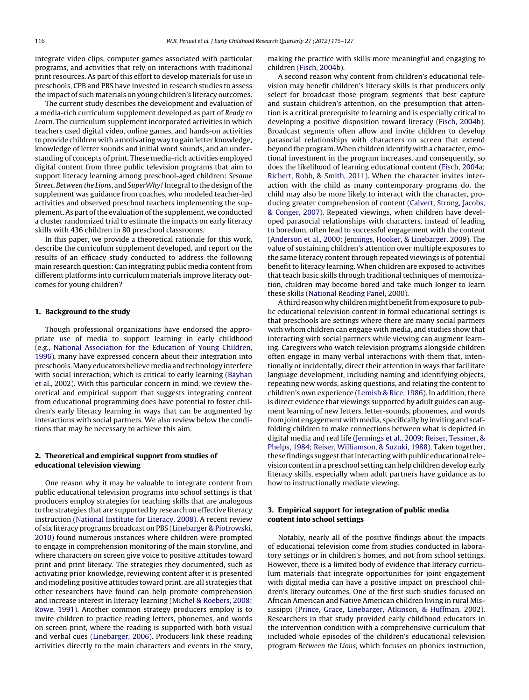integrate video clips, computer games associated with particular programs, and activities that rely on interactions with traditional print resources. As part of this effort to develop materials for use in preschools, CPB and PBS have invested in research studies to assess the impact of such materials on young children's literacy outcomes.

The current study describes the development and evaluation of a media-rich curriculum supplement developed as part of Ready to Learn. The curriculum supplement incorporated activities in which teachers used digital video, online games, and hands-on activities to provide children with a motivating way to gain letter knowledge, knowledge of letter sounds and initial word sounds, and an understanding of concepts of print. These media-rich activities employed digital content from three public television programs that aim to support literacy learning among preschool-aged children: Sesame Street, Between the Lions, and SuperWhy! Integral to the design of the supplement was guidance from coaches, who modeled teacher-led activities and observed preschool teachers implementing the supplement. As part of the evaluation of the supplement, we conducted a cluster randomized trial to estimate the impacts on early literacy skills with 436 children in 80 preschool classrooms.

In this paper, we provide a theoretical rationale for this work, describe the curriculum supplement developed, and report on the results of an efficacy study conducted to address the following main research question: Can integrating public media content from different platforms into curriculum materials improve literacy outcomes for young children?

#### **1. Background to the study**

Though professional organizations have endorsed the appropriate use of media to support learning in early childhood (e.g., [National](#page-11-0) [Association](#page-11-0) [for](#page-11-0) [the](#page-11-0) [Education](#page-11-0) [of](#page-11-0) [Young](#page-11-0) [Children,](#page-11-0) [1996\),](#page-11-0) many have expressed concern about their integration into preschools.Many educators believemedia and technology interfere with social interaction, which is critical to early learning [\(Bayhan](#page-11-0) et [al.,](#page-11-0) [2002\).](#page-11-0) With this particular concern in mind, we review theoretical and empirical support that suggests integrating content from educational programming does have potential to foster children's early literacy learning in ways that can be augmented by interactions with social partners. We also review below the conditions that may be necessary to achieve this aim.

### **2. Theoretical and empirical support from studies of educational television viewing**

One reason why it may be valuable to integrate content from public educational television programs into school settings is that producers employ strategies for teaching skills that are analogous to the strategies that are supported by research on effective literacy instruction [\(National](#page-11-0) [Institute](#page-11-0) [for](#page-11-0) [Literacy,](#page-11-0) [2008\).](#page-11-0) A recent review of six literacy programs broadcast on PBS ([Linebarger](#page-11-0) [&](#page-11-0) [Piotrowski,](#page-11-0) [2010\)](#page-11-0) found numerous instances where children were prompted to engage in comprehension monitoring of the main storyline, and where characters on screen give voice to positive attitudes toward print and print literacy. The strategies they documented, such as activating prior knowledge, reviewing content after it is presented and modeling positive attitudes toward print, are all strategies that other researchers have found can help promote comprehension and increase interest in literacy learning ([Michel](#page-11-0) [&](#page-11-0) [Roebers,](#page-11-0) [2008;](#page-11-0) [Rowe,](#page-11-0) [1991\).](#page-11-0) Another common strategy producers employ is to invite children to practice reading letters, phonemes, and words on screen print, where the reading is supported with both visual and verbal cues [\(Linebarger,](#page-11-0) [2006\).](#page-11-0) Producers link these reading activities directly to the main characters and events in the story,

making the practice with skills more meaningful and engaging to children [\(Fisch,](#page-11-0) [2004b\).](#page-11-0)

A second reason why content from children's educational television may benefit children's literacy skills is that producers only select for broadcast those program segments that best capture and sustain children's attention, on the presumption that attention is a critical prerequisite to learning and is especially critical to developing a positive disposition toward literacy [\(Fisch,](#page-11-0) [2004b\).](#page-11-0) Broadcast segments often allow and invite children to develop parasocial relationships with characters on screen that extend beyond the program.When children identify with a character, emotional investment in the program increases, and consequently, so does the likelihood of learning educational content ([Fisch,](#page-11-0) [2004a;](#page-11-0) [Richert,](#page-11-0) [Robb,](#page-11-0) [&](#page-11-0) [Smith,](#page-11-0) [2011\).](#page-11-0) When the character invites interaction with the child as many contemporary programs do, the child may also be more likely to interact with the character, producing greater comprehension of content [\(Calvert,](#page-11-0) [Strong,](#page-11-0) [Jacobs,](#page-11-0) [&](#page-11-0) [Conger,](#page-11-0) [2007\).](#page-11-0) Repeated viewings, when children have developed parasocial relationships with characters, instead of leading to boredom, often lead to successful engagement with the content [\(Anderson](#page-10-0) et [al.,](#page-10-0) [2000;](#page-10-0) [Jennings,](#page-10-0) [Hooker,](#page-10-0) [&](#page-10-0) [Linebarger,](#page-10-0) [2009\).](#page-10-0) The value of sustaining children's attention over multiple exposures to the same literacy content through repeated viewings is of potential benefit to literacy learning. When children are exposed to activities that teach basic skills through traditional techniques of memorization, children may become bored and take much longer to learn these skills ([National](#page-11-0) [Reading](#page-11-0) [Panel,](#page-11-0) [2000\).](#page-11-0)

A third reason why children might benefit from exposure to public educational television content in formal educational settings is that preschools are settings where there are many social partners with whom children can engage with media, and studies show that interacting with social partners while viewing can augment learning. Caregivers who watch television programs alongside children often engage in many verbal interactions with them that, intentionally or incidentally, direct their attention in ways that facilitate language development, including naming and identifying objects, repeating new words, asking questions, and relating the content to children's own experience ([Lemish](#page-11-0) [&](#page-11-0) [Rice,](#page-11-0) [1986\).](#page-11-0) In addition, there is direct evidence that viewings supported by adult guides can augment learning of new letters, letter-sounds, phonemes, and words from joint engagement with media, specifically by inviting and scaffolding children to make connections between what is depicted in digital media and real life [\(Jennings](#page-11-0) et [al.,](#page-11-0) [2009;](#page-11-0) [Reiser,](#page-11-0) [Tessmer,](#page-11-0) [&](#page-11-0) [Phelps,](#page-11-0) [1984;](#page-11-0) [Reiser,](#page-11-0) [Williamson,](#page-11-0) [&](#page-11-0) [Suzuki,](#page-11-0) [1988\).](#page-11-0) Taken together, these findings suggest that interacting with public educational television contentin a preschool setting can help children develop early literacy skills, especially when adult partners have guidance as to how to instructionally mediate viewing.

## **3. Empirical support for integration of public media content into school settings**

Notably, nearly all of the positive findings about the impacts of educational television come from studies conducted in laboratory settings or in children's homes, and not from school settings. However, there is a limited body of evidence that literacy curriculum materials that integrate opportunities for joint engagement with digital media can have a positive impact on preschool children's literacy outcomes. One of the first such studies focused on African American and Native American children living in rural Mississippi ([Prince,](#page-11-0) [Grace,](#page-11-0) [Linebarger,](#page-11-0) [Atkinson,](#page-11-0) [&](#page-11-0) [Huffman,](#page-11-0) [2002\).](#page-11-0) Researchers in that study provided early childhood educators in the intervention condition with a comprehensive curriculum that included whole episodes of the children's educational television program Between the Lions, which focuses on phonics instruction,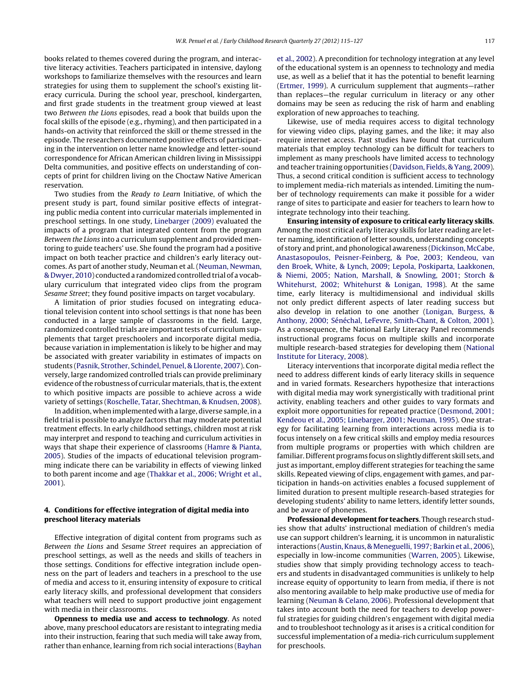books related to themes covered during the program, and interactive literacy activities. Teachers participated in intensive, daylong workshops to familiarize themselves with the resources and learn strategies for using them to supplement the school's existing literacy curricula. During the school year, preschool, kindergarten, and first grade students in the treatment group viewed at least two Between the Lions episodes, read a book that builds upon the focal skills of the episode (e.g., rhyming), and then participated in a hands-on activity that reinforced the skill or theme stressed in the episode. The researchers documented positive effects of participating in the intervention on letter name knowledge and letter-sound correspondence for African American children living in Mississippi Delta communities, and positive effects on understanding of concepts of print for children living on the Choctaw Native American reservation.

Two studies from the Ready to Learn Initiative, of which the present study is part, found similar positive effects of integrating public media content into curricular materials implemented in preschool settings. In one study, [Linebarger](#page-11-0) [\(2009\)](#page-11-0) evaluated the impacts of a program that integrated content from the program Between the Lions into a curriculum supplement and provided mentoring to guide teachers' use. She found the program had a positive impact on both teacher practice and children's early literacy outcomes. As part of another study, Neuman et al. ([Neuman,](#page-11-0) [Newman,](#page-11-0) [&](#page-11-0) [Dwyer,](#page-11-0) [2010\)](#page-11-0) conducted a randomized controlled trial of a vocabulary curriculum that integrated video clips from the program Sesame Street; they found positive impacts on target vocabulary.

A limitation of prior studies focused on integrating educational television content into school settings is that none has been conducted in a large sample of classrooms in the field. Large, randomized controlled trials are important tests of curriculum supplements that target preschoolers and incorporate digital media, because variation in implementation is likely to be higher and may be associated with greater variability in estimates of impacts on students [\(Pasnik,](#page-11-0) [Strother,](#page-11-0) [Schindel,](#page-11-0) [Penuel,](#page-11-0) [&](#page-11-0) [Llorente,](#page-11-0) [2007\).](#page-11-0) Conversely, large randomized controlled trials can provide preliminary evidence of the robustness of curricular materials, that is, the extent to which positive impacts are possible to achieve across a wide variety of settings [\(Roschelle,](#page-12-0) [Tatar,](#page-12-0) [Shechtman,](#page-12-0) [&](#page-12-0) [Knudsen,](#page-12-0) [2008\).](#page-12-0)

In addition, when implemented with a large, diverse sample, in a field trial is possible to analyze factors that may moderate potential treatment effects. In early childhood settings, children most at risk may interpret and respond to teaching and curriculum activities in ways that shape their experience of classrooms ([Hamre](#page-11-0) [&](#page-11-0) [Pianta,](#page-11-0) [2005\).](#page-11-0) Studies of the impacts of educational television programming indicate there can be variability in effects of viewing linked to both parent income and age ([Thakkar](#page-12-0) et [al.,](#page-12-0) [2006;](#page-12-0) [Wright](#page-12-0) et [al.,](#page-12-0) [2001\).](#page-12-0)

### **4. Conditions for effective integration of digital media into preschool literacy materials**

Effective integration of digital content from programs such as Between the Lions and Sesame Street requires an appreciation of preschool settings, as well as the needs and skills of teachers in those settings. Conditions for effective integration include openness on the part of leaders and teachers in a preschool to the use of media and access to it, ensuring intensity of exposure to critical early literacy skills, and professional development that considers what teachers will need to support productive joint engagement with media in their classrooms.

**Openness to media use and access to technology**. As noted above, many preschool educators are resistant to integrating media into their instruction, fearing that such media will take away from, rather than enhance, learning from rich social interactions [\(Bayhan](#page-11-0) et [al.,](#page-11-0) [2002\).](#page-11-0) A precondition for technology integration at any level of the educational system is an openness to technology and media use, as well as a belief that it has the potential to benefit learning [\(Ertmer,](#page-11-0) [1999\).](#page-11-0) A curriculum supplement that augments—rather than replaces—the regular curriculum in literacy or any other domains may be seen as reducing the risk of harm and enabling exploration of new approaches to teaching.

Likewise, use of media requires access to digital technology for viewing video clips, playing games, and the like; it may also require internet access. Past studies have found that curriculum materials that employ technology can be difficult for teachers to implement as many preschools have limited access to technology and teacher training opportunities ([Davidson,](#page-11-0) [Fields,](#page-11-0) [&](#page-11-0) [Yang,](#page-11-0) [2009\).](#page-11-0) Thus, a second critical condition is sufficient access to technology to implement media-rich materials as intended. Limiting the number of technology requirements can make it possible for a wider range of sites to participate and easier for teachers to learn how to integrate technology into their teaching.

**Ensuring intensity of exposure to critical early literacy skills**. Among the most critical early literacy skills for later reading are letter naming, identification of letter sounds, understanding concepts of story and print, and phonological awareness [\(Dickinson,](#page-11-0) [McCabe,](#page-11-0) [Anastasopoulos,](#page-11-0) [Peisner-Feinberg,](#page-11-0) [&](#page-11-0) [Poe,](#page-11-0) [2003;](#page-11-0) [Kendeou,](#page-11-0) [van](#page-11-0) [den](#page-11-0) [Broek,](#page-11-0) [White,](#page-11-0) [&](#page-11-0) [Lynch,](#page-11-0) [2009;](#page-11-0) [Lepola,](#page-11-0) [Poskiparta,](#page-11-0) [Laakkonen,](#page-11-0) [&](#page-11-0) [Niemi,](#page-11-0) [2005;](#page-11-0) [Nation,](#page-11-0) [Marshall,](#page-11-0) [&](#page-11-0) [Snowling,](#page-11-0) [2001;](#page-11-0) [Storch](#page-11-0) [&](#page-11-0) [Whitehurst,](#page-11-0) [2002;](#page-11-0) [Whitehurst](#page-11-0) [&](#page-11-0) [Lonigan,](#page-11-0) [1998\).](#page-11-0) At the same time, early literacy is multidimensional and individual skills not only predict different aspects of later reading success but also develop in relation to one another [\(Lonigan,](#page-11-0) [Burgess,](#page-11-0) [&](#page-11-0) [Anthony,](#page-11-0) [2000;](#page-11-0) [Sénéchal,](#page-11-0) [LeFevre,](#page-11-0) [Smith-Chant,](#page-11-0) [&](#page-11-0) [Colton,](#page-11-0) [2001\).](#page-11-0) As a consequence, the National Early Literacy Panel recommends instructional programs focus on multiple skills and incorporate multiple research-based strategies for developing them [\(National](#page-11-0) [Institute](#page-11-0) [for](#page-11-0) [Literacy,](#page-11-0) [2008\).](#page-11-0)

Literacy interventions that incorporate digital media reflect the need to address different kinds of early literacy skills in sequence and in varied formats. Researchers hypothesize that interactions with digital media may work synergistically with traditional print activity, enabling teachers and other guides to vary formats and exploit more opportunities for repeated practice [\(Desmond,](#page-11-0) [2001;](#page-11-0) [Kendeou](#page-11-0) et [al.,](#page-11-0) [2005;](#page-11-0) [Linebarger,](#page-11-0) [2001;](#page-11-0) [Neuman,](#page-11-0) [1995\).](#page-11-0) One strategy for facilitating learning from interactions across media is to focus intensely on a few critical skills and employ media resources from multiple programs or properties with which children are familiar. Different programs focus on slightly different skill sets, and just as important, employ different strategies for teaching the same skills. Repeated viewing of clips, engagement with games, and participation in hands-on activities enables a focused supplement of limited duration to present multiple research-based strategies for developing students' ability to name letters, identify letter sounds, and be aware of phonemes.

**Professional development for teachers**. Though research studies show that adults' instructional mediation of children's media use can support children's learning, it is uncommon in naturalistic interactions (Austin, Knaus, & Meneguelli, 1997; Barkin et [al.,](#page-10-0) [2006\),](#page-10-0) especially in low-income communities ([Warren,](#page-12-0) [2005\).](#page-12-0) Likewise, studies show that simply providing technology access to teachers and students in disadvantaged communities is unlikely to help increase equity of opportunity to learn from media, if there is not also mentoring available to help make productive use of media for learning ([Neuman](#page-11-0) [&](#page-11-0) [Celano,](#page-11-0) [2006\).](#page-11-0) Professional development that takes into account both the need for teachers to develop powerful strategies for guiding children's engagement with digital media and to troubleshoot technology as it arises is a critical condition for successful implementation of a media-rich curriculum supplement for preschools.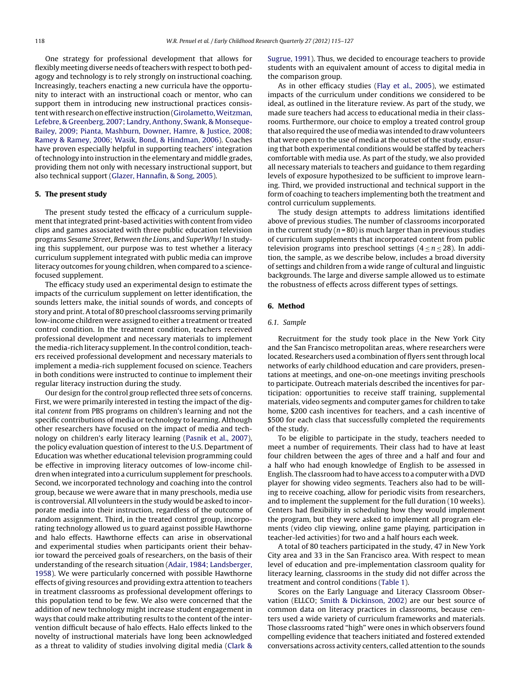One strategy for professional development that allows for flexibly meeting diverse needs of teachers with respect to both pedagogy and technology is to rely strongly on instructional coaching. Increasingly, teachers enacting a new curricula have the opportunity to interact with an instructional coach or mentor, who can support them in introducing new instructional practices consistent with research on effective instruction (Girolametto, Weitzman, [Lefebre,](#page-11-0) [&](#page-11-0) [Greenberg,](#page-11-0) [2007;](#page-11-0) [Landry,](#page-11-0) [Anthony,](#page-11-0) [Swank,](#page-11-0) [&](#page-11-0) [Monseque-](#page-11-0)Bailey, [2009;](#page-11-0) [Pianta,](#page-11-0) [Mashburn,](#page-11-0) [Downer,](#page-11-0) [Hamre,](#page-11-0) [&](#page-11-0) [Justice,](#page-11-0) [2008;](#page-11-0) [Ramey](#page-11-0) [&](#page-11-0) [Ramey,](#page-11-0) [2006;](#page-11-0) [Wasik,](#page-11-0) [Bond,](#page-11-0) [&](#page-11-0) [Hindman,](#page-11-0) [2006\).](#page-11-0) Coaches have proven especially helpful in supporting teachers' integration oftechnology into instruction in the elementary and middle grades, providing them not only with necessary instructional support, but also technical support ([Glazer,](#page-11-0) [Hannafin,](#page-11-0) [&](#page-11-0) [Song,](#page-11-0) [2005\).](#page-11-0)

#### **5. The present study**

The present study tested the efficacy of a curriculum supplement that integrated print-based activities with content from video clips and games associated with three public education television programs Sesame Street, Between the Lions, and SuperWhy! In studying this supplement, our purpose was to test whether a literacy curriculum supplement integrated with public media can improve literacy outcomes for young children, when compared to a sciencefocused supplement.

The efficacy study used an experimental design to estimate the impacts of the curriculum supplement on letter identification, the sounds letters make, the initial sounds of words, and concepts of story and print. A total of 80 preschool classrooms serving primarily low-income children were assigned to either a treatment or treated control condition. In the treatment condition, teachers received professional development and necessary materials to implement the media-rich literacy supplement. In the control condition, teachers received professional development and necessary materials to implement a media-rich supplement focused on science. Teachers in both conditions were instructed to continue to implement their regular literacy instruction during the study.

Our design for the control group reflected three sets of concerns. First, we were primarily interested in testing the impact of the digital content from PBS programs on children's learning and not the specific contributions of media or technology to learning. Although other researchers have focused on the impact of media and technology on children's early literacy learning ([Pasnik](#page-11-0) et [al.,](#page-11-0) [2007\),](#page-11-0) the policy evaluation question of interest to the U.S. Department of Education was whether educational television programming could be effective in improving literacy outcomes of low-income children when integrated into a curriculum supplement for preschools. Second, we incorporated technology and coaching into the control group, because we were aware that in many preschools, media use is controversial.All volunteers in the study would be asked to incorporate media into their instruction, regardless of the outcome of random assignment. Third, in the treated control group, incorporating technology allowed us to guard against possible Hawthorne and halo effects. Hawthorne effects can arise in observational and experimental studies when participants orient their behavior toward the perceived goals of researchers, on the basis of their understanding of the research situation [\(Adair,](#page-10-0) [1984;](#page-10-0) [Landsberger,](#page-10-0) [1958\).](#page-10-0) We were particularly concerned with possible Hawthorne effects of giving resources and providing extra attention to teachers in treatment classrooms as professional development offerings to this population tend to be few. We also were concerned that the addition of new technology might increase student engagement in ways that could make attributing results to the content of the intervention difficult because of halo effects. Halo effects linked to the novelty of instructional materials have long been acknowledged as a threat to validity of studies involving digital media ([Clark](#page-11-0) [&](#page-11-0)

[Sugrue,](#page-11-0) [1991\).](#page-11-0) Thus, we decided to encourage teachers to provide students with an equivalent amount of access to digital media in the comparison group.

As in other efficacy studies ([Flay](#page-11-0) [et](#page-11-0) [al.,](#page-11-0) [2005\),](#page-11-0) we estimated impacts of the curriculum under conditions we considered to be ideal, as outlined in the literature review. As part of the study, we made sure teachers had access to educational media in their classrooms. Furthermore, our choice to employ a treated control group that also required the use of media was intended to draw volunteers that were open to the use of media at the outset of the study, ensuring that both experimental conditions would be staffed by teachers comfortable with media use. As part of the study, we also provided all necessary materials to teachers and guidance to them regarding levels of exposure hypothesized to be sufficient to improve learning. Third, we provided instructional and technical support in the form of coaching to teachers implementing both the treatment and control curriculum supplements.

The study design attempts to address limitations identified above of previous studies. The number of classrooms incorporated in the current study ( $n = 80$ ) is much larger than in previous studies of curriculum supplements that incorporated content from public television programs into preschool settings  $(4 \le n \le 28)$ . In addition, the sample, as we describe below, includes a broad diversity of settings and children from a wide range of cultural and linguistic backgrounds. The large and diverse sample allowed us to estimate the robustness of effects across different types of settings.

#### **6. Method**

## 6.1. Sample

Recruitment for the study took place in the New York City and the San Francisco metropolitan areas, where researchers were located. Researchers used a combination of flyers sent through local networks of early childhood education and care providers, presentations at meetings, and one-on-one meetings inviting preschools to participate. Outreach materials described the incentives for participation: opportunities to receive staff training, supplemental materials, video segments and computer games for children to take home, \$200 cash incentives for teachers, and a cash incentive of \$500 for each class that successfully completed the requirements of the study.

To be eligible to participate in the study, teachers needed to meet a number of requirements. Their class had to have at least four children between the ages of three and a half and four and a half who had enough knowledge of English to be assessed in English. The classroom had to have access to a computer with a DVD player for showing video segments. Teachers also had to be willing to receive coaching, allow for periodic visits from researchers, and to implement the supplement for the full duration (10 weeks). Centers had flexibility in scheduling how they would implement the program, but they were asked to implement all program elements (video clip viewing, online game playing, participation in teacher-led activities) for two and a half hours each week.

A total of 80 teachers participated in the study, 47 in New York City area and 33 in the San Francisco area. With respect to mean level of education and pre-implementation classroom quality for literacy learning, classrooms in the study did not differ across the treatment and control conditions ([Table](#page-4-0) 1).

Scores on the Early Language and Literacy Classroom Observation (ELLCO; [Smith](#page-12-0) [&](#page-12-0) [Dickinson,](#page-12-0) [2002\)](#page-12-0) are our best source of common data on literacy practices in classrooms, because centers used a wide variety of curriculum frameworks and materials. Those classrooms rated "high" were ones in which observers found compelling evidence that teachers initiated and fostered extended conversations across activity centers, called attention to the sounds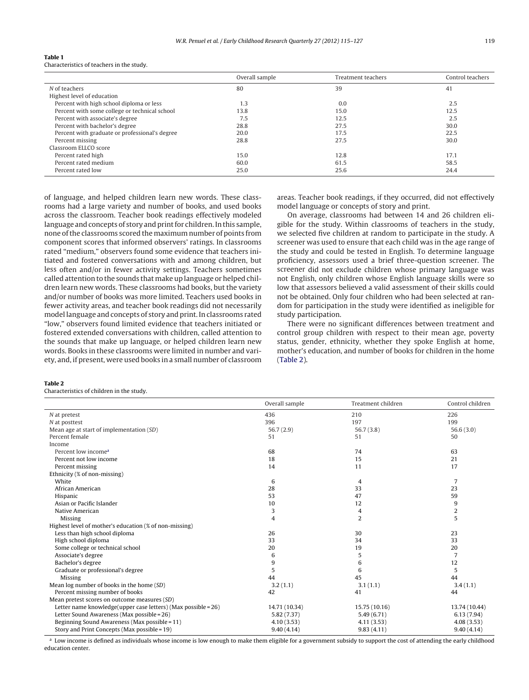<span id="page-4-0"></span>

| Table 1                                   |
|-------------------------------------------|
| Characteristics of teachers in the study. |

|                                                | Overall sample | Treatment teachers | Control teachers |
|------------------------------------------------|----------------|--------------------|------------------|
| N of teachers                                  | 80             | 39                 | 41               |
| Highest level of education                     |                |                    |                  |
| Percent with high school diploma or less       | 1.3            | 0.0                | 2.5              |
| Percent with some college or technical school  | 13.8           | 15.0               | 12.5             |
| Percent with associate's degree                | 7.5            | 12.5               | 2.5              |
| Percent with bachelor's degree                 | 28.8           | 27.5               | 30.0             |
| Percent with graduate or professional's degree | 20.0           | 17.5               | 22.5             |
| Percent missing                                | 28.8           | 27.5               | 30.0             |
| Classroom ELLCO score                          |                |                    |                  |
| Percent rated high                             | 15.0           | 12.8               | 17.1             |
| Percent rated medium                           | 60.0           | 61.5               | 58.5             |
| Percent rated low                              | 25.0           | 25.6               | 24.4             |

of language, and helped children learn new words. These classrooms had a large variety and number of books, and used books across the classroom. Teacher book readings effectively modeled language and concepts of story and print for children. In this sample, none ofthe classrooms scored the maximum number of points from component scores that informed observers' ratings. In classrooms rated "medium," observers found some evidence that teachers initiated and fostered conversations with and among children, but less often and/or in fewer activity settings. Teachers sometimes called attention to the sounds that make up language or helped children learn new words. These classrooms had books, but the variety and/or number of books was more limited. Teachers used books in fewer activity areas, and teacher book readings did not necessarily model language and concepts of story and print. In classrooms rated "low," observers found limited evidence that teachers initiated or fostered extended conversations with children, called attention to the sounds that make up language, or helped children learn new words. Books in these classrooms were limited in number and variety, and, if present, were used books in a small number of classroom

#### **Table 2**

Characteristics of children in the study.

areas. Teacher book readings, if they occurred, did not effectively model language or concepts of story and print.

On average, classrooms had between 14 and 26 children eligible for the study. Within classrooms of teachers in the study, we selected five children at random to participate in the study. A screener was used to ensure that each child was in the age range of the study and could be tested in English. To determine language proficiency, assessors used a brief three-question screener. The screener did not exclude children whose primary language was not English, only children whose English language skills were so low that assessors believed a valid assessment of their skills could not be obtained. Only four children who had been selected at random for participation in the study were identified as ineligible for study participation.

There were no significant differences between treatment and control group children with respect to their mean age, poverty status, gender, ethnicity, whether they spoke English at home, mother's education, and number of books for children in the home (Table 2).

|                                                               | Overall sample | Treatment children | Control children |
|---------------------------------------------------------------|----------------|--------------------|------------------|
| N at pretest                                                  | 436            | 210                | 226              |
| N at posttest                                                 | 396            | 197                | 199              |
| Mean age at start of implementation (SD)                      | 56.7(2.9)      | 56.7(3.8)          | 56.6(3.0)        |
| Percent female                                                | 51             | 51                 | 50               |
| Income                                                        |                |                    |                  |
| Percent low income <sup>a</sup>                               | 68             | 74                 | 63               |
| Percent not low income                                        | 18             | 15                 | 21               |
| Percent missing                                               | 14             | 11                 | 17               |
| Ethnicity (% of non-missing)                                  |                |                    |                  |
| White                                                         | 6              | 4                  | $\overline{7}$   |
| African American                                              | 28             | 33                 | 23               |
| Hispanic                                                      | 53             | 47                 | 59               |
| Asian or Pacific Islander                                     | 10             | 12                 | 9                |
| Native American                                               | 3              | 4                  | $\boldsymbol{2}$ |
| <b>Missing</b>                                                | 4              | 2                  | 5                |
| Highest level of mother's education (% of non-missing)        |                |                    |                  |
| Less than high school diploma                                 | 26             | 30                 | 23               |
| High school diploma                                           | 33             | 34                 | 33               |
| Some college or technical school                              | 20             | 19                 | 20               |
| Associate's degree                                            | 6              | 5                  | 7                |
| Bachelor's degree                                             | 9              | 6                  | 12               |
| Graduate or professional's degree                             | 5              | 6                  | 5                |
| Missing                                                       | 44             | 45                 | 44               |
| Mean log number of books in the home (SD)                     | 3.2(1.1)       | 3.1(1.1)           | 3.4(1.1)         |
| Percent missing number of books                               | 42             | 41                 | 44               |
| Mean pretest scores on outcome measures (SD)                  |                |                    |                  |
| Letter name knowledge(upper case letters) (Max possible = 26) | 14.71 (10.34)  | 15.75 (10.16)      | 13.74 (10.44)    |
| Letter Sound Awareness (Max possible = 26)                    | 5.82(7.37)     | 5.49(6.71)         | 6.13(7.94)       |
| Beginning Sound Awareness (Max possible = 11)                 | 4.10(3.53)     | 4.11(3.53)         | 4.08(3.53)       |
| Story and Print Concepts (Max possible = 19)                  | 9.40(4.14)     | 9.83(4.11)         | 9.40(4.14)       |

<sup>a</sup> Low income is defined as individuals whose income is low enough to make them eligible for a government subsidy to support the cost of attending the early childhood education center.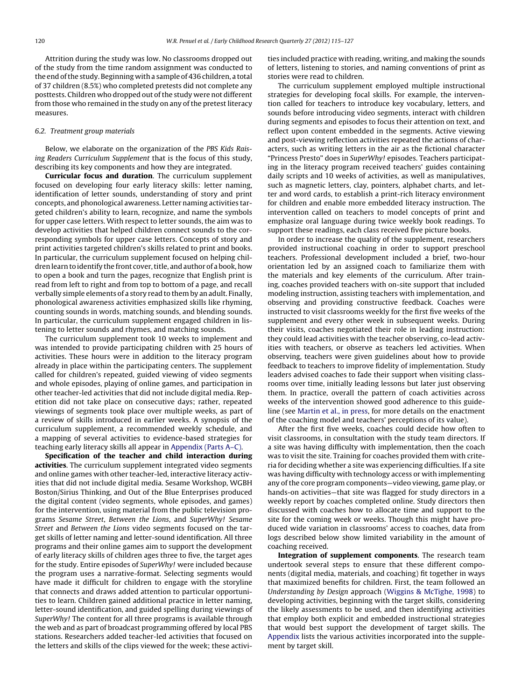Attrition during the study was low. No classrooms dropped out of the study from the time random assignment was conducted to the end ofthe study. Beginning with a sample of 436 children, a total of 37 children (8.5%) who completed pretests did not complete any posttests. Children who dropped out of the study were not different from those who remained in the study on any of the pretest literacy measures.

#### 6.2. Treatment group materials

Below, we elaborate on the organization of the PBS Kids Raising Readers Curriculum Supplement that is the focus of this study, describing its key components and how they are integrated.

**Curricular focus and duration**. The curriculum supplement focused on developing four early literacy skills: letter naming, identification of letter sounds, understanding of story and print concepts, and phonological awareness. Letter naming activities targeted children's ability to learn, recognize, and name the symbols for upper case letters. With respect to letter sounds, the aim was to develop activities that helped children connect sounds to the corresponding symbols for upper case letters. Concepts of story and print activities targeted children's skills related to print and books. In particular, the curriculum supplement focused on helping children learn to identify the front cover, title, and author of a book, how to open a book and turn the pages, recognize that English print is read from left to right and from top to bottom of a page, and recall verbally simple elements of a story read to them by an adult. Finally, phonological awareness activities emphasized skills like rhyming, counting sounds in words, matching sounds, and blending sounds. In particular, the curriculum supplement engaged children in listening to letter sounds and rhymes, and matching sounds.

The curriculum supplement took 10 weeks to implement and was intended to provide participating children with 25 hours of activities. These hours were in addition to the literacy program already in place within the participating centers. The supplement called for children's repeated, guided viewing of video segments and whole episodes, playing of online games, and participation in other teacher-led activities that did not include digital media. Repetition did not take place on consecutive days; rather, repeated viewings of segments took place over multiple weeks, as part of a review of skills introduced in earlier weeks. A synopsis of the curriculum supplement, a recommended weekly schedule, and a mapping of several activities to evidence-based strategies for teaching early literacy skills all appear in [Appendix](#page-10-0) [\(Parts](#page-10-0) [A–C\).](#page-10-0)

**Specification of the teacher and child interaction during activities**. The curriculum supplement integrated video segments and online games with other teacher-led, interactive literacy activities that did not include digital media. Sesame Workshop, WGBH Boston/Sirius Thinking, and Out of the Blue Enterprises produced the digital content (video segments, whole episodes, and games) for the intervention, using material from the public television programs Sesame Street, Between the Lions, and SuperWhy! Sesame Street and Between the Lions video segments focused on the target skills of letter naming and letter-sound identification. All three programs and their online games aim to support the development of early literacy skills of children ages three to five, the target ages for the study. Entire episodes of SuperWhy! were included because the program uses a narrative-format. Selecting segments would have made it difficult for children to engage with the storyline that connects and draws added attention to particular opportunities to learn. Children gained additional practice in letter naming, letter-sound identification, and guided spelling during viewings of SuperWhy! The content for all three programs is available through the web and as part of broadcast programming offered by local PBS stations. Researchers added teacher-led activities that focused on the letters and skills of the clips viewed for the week; these activities included practice with reading, writing, and making the sounds of letters, listening to stories, and naming conventions of print as stories were read to children.

The curriculum supplement employed multiple instructional strategies for developing focal skills. For example, the intervention called for teachers to introduce key vocabulary, letters, and sounds before introducing video segments, interact with children during segments and episodes to focus their attention on text, and reflect upon content embedded in the segments. Active viewing and post-viewing reflection activities repeated the actions of characters, such as writing letters in the air as the fictional character "Princess Presto" does in SuperWhy! episodes. Teachers participating in the literacy program received teachers' guides containing daily scripts and 10 weeks of activities, as well as manipulatives, such as magnetic letters, clay, pointers, alphabet charts, and letter and word cards, to establish a print-rich literacy environment for children and enable more embedded literacy instruction. The intervention called on teachers to model concepts of print and emphasize oral language during twice weekly book readings. To support these readings, each class received five picture books.

In order to increase the quality of the supplement, researchers provided instructional coaching in order to support preschool teachers. Professional development included a brief, two-hour orientation led by an assigned coach to familiarize them with the materials and key elements of the curriculum. After training, coaches provided teachers with on-site support that included modeling instruction, assisting teachers with implementation, and observing and providing constructive feedback. Coaches were instructed to visit classrooms weekly for the first five weeks of the supplement and every other week in subsequent weeks. During their visits, coaches negotiated their role in leading instruction: they could lead activities with the teacher observing, co-lead activities with teachers, or observe as teachers led activities. When observing, teachers were given guidelines about how to provide feedback to teachers to improve fidelity of implementation. Study leaders advised coaches to fade their support when visiting classrooms over time, initially leading lessons but later just observing them. In practice, overall the pattern of coach activities across weeks of the intervention showed good adherence to this guideline (see [Martin](#page-11-0) et [al.,](#page-11-0) [in](#page-11-0) [press,](#page-11-0) for more details on the enactment of the coaching model and teachers' perceptions of its value).

After the first five weeks, coaches could decide how often to visit classrooms, in consultation with the study team directors. If a site was having difficulty with implementation, then the coach was to visit the site. Training for coaches provided them with criteria for deciding whether a site was experiencing difficulties. If a site was having difficulty with technology access or with implementing any of the core program components-video viewing, game play, or hands-on activities—that site was flagged for study directors in a weekly report by coaches completed online. Study directors then discussed with coaches how to allocate time and support to the site for the coming week or weeks. Though this might have produced wide variation in classrooms' access to coaches, data from logs described below show limited variability in the amount of coaching received.

**Integration of supplement components**. The research team undertook several steps to ensure that these different components (digital media, materials, and coaching) fit together in ways that maximized benefits for children. First, the team followed an Understanding by Design approach [\(Wiggins](#page-12-0) [&](#page-12-0) [McTighe,](#page-12-0) [1998\)](#page-12-0) to developing activities, beginning with the target skills, considering the likely assessments to be used, and then identifying activities that employ both explicit and embedded instructional strategies that would best support the development of target skills. The [Appendix](#page-10-0) lists the various activities incorporated into the supplement by target skill.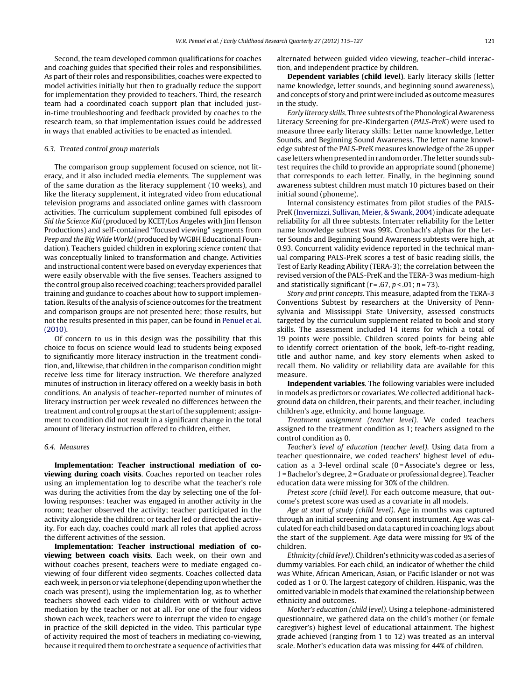Second, the team developed common qualifications for coaches and coaching guides that specified their roles and responsibilities. As part of their roles and responsibilities, coaches were expected to model activities initially but then to gradually reduce the support for implementation they provided to teachers. Third, the research team had a coordinated coach support plan that included justin-time troubleshooting and feedback provided by coaches to the research team, so that implementation issues could be addressed in ways that enabled activities to be enacted as intended.

### 6.3. Treated control group materials

The comparison group supplement focused on science, not literacy, and it also included media elements. The supplement was of the same duration as the literacy supplement (10 weeks), and like the literacy supplement, it integrated video from educational television programs and associated online games with classroom activities. The curriculum supplement combined full episodes of Sid the Science Kid (produced by KCET/Los Angeles with Jim Henson Productions) and self-contained "focused viewing" segments from Peep and the Big Wide World (produced by WGBH Educational Foundation). Teachers guided children in exploring science content that was conceptually linked to transformation and change. Activities and instructional content were based on everyday experiences that were easily observable with the five senses. Teachers assigned to the control group also received coaching; teachers provided parallel training and guidance to coaches about how to support implementation. Results of the analysis of science outcomes for the treatment and comparison groups are not presented here; those results, but not the results presented in this paper, can be found in [Penuel](#page-11-0) et [al.](#page-11-0) [\(2010\).](#page-11-0)

Of concern to us in this design was the possibility that this choice to focus on science would lead to students being exposed to significantly more literacy instruction in the treatment condition, and, likewise, that children in the comparison condition might receive less time for literacy instruction. We therefore analyzed minutes of instruction in literacy offered on a weekly basis in both conditions. An analysis of teacher-reported number of minutes of literacy instruction per week revealed no differences between the treatment and control groups at the start of the supplement; assignment to condition did not result in a significant change in the total amount of literacy instruction offered to children, either.

#### 6.4. Measures

**Implementation: Teacher instructional mediation of coviewing during coach visits**. Coaches reported on teacher roles using an implementation log to describe what the teacher's role was during the activities from the day by selecting one of the following responses: teacher was engaged in another activity in the room; teacher observed the activity; teacher participated in the activity alongside the children; or teacher led or directed the activity. For each day, coaches could mark all roles that applied across the different activities of the session.

**Implementation: Teacher instructional mediation of coviewing between coach visits**. Each week, on their own and without coaches present, teachers were to mediate engaged coviewing of four different video segments. Coaches collected data each week, in person or via telephone (depending upon whether the coach was present), using the implementation log, as to whether teachers showed each video to children with or without active mediation by the teacher or not at all. For one of the four videos shown each week, teachers were to interrupt the video to engage in practice of the skill depicted in the video. This particular type of activity required the most of teachers in mediating co-viewing, because it required them to orchestrate a sequence of activities that alternated between guided video viewing, teacher–child interaction, and independent practice by children.

**Dependent variables (child level)**. Early literacy skills (letter name knowledge, letter sounds, and beginning sound awareness), and concepts of story and print were included as outcome measures in the study.

Early literacy skills. Three subtests of the Phonological Awareness Literacy Screening for pre-Kindergarten (PALS-PreK) were used to measure three early literacy skills: Letter name knowledge, Letter Sounds, and Beginning Sound Awareness. The letter name knowledge subtest of the PALS-PreK measures knowledge of the 26 upper case letters when presented in random order. The letter sounds subtest requires the child to provide an appropriate sound (phoneme) that corresponds to each letter. Finally, in the beginning sound awareness subtest children must match 10 pictures based on their initial sound (phoneme).

Internal consistency estimates from pilot studies of the PALS-PreK ([Invernizzi,](#page-11-0) [Sullivan,](#page-11-0) [Meier,](#page-11-0) [&](#page-11-0) [Swank,](#page-11-0) [2004\)](#page-11-0) indicate adequate reliability for all three subtests. Interrater reliability for the Letter name knowledge subtest was 99%. Cronbach's alphas for the Letter Sounds and Beginning Sound Awareness subtests were high, at 0.93. Concurrent validity evidence reported in the technical manual comparing PALS-PreK scores a test of basic reading skills, the Test of Early Reading Ability (TERA-3); the correlation between the revised version of the PALS-PreK and the TERA-3 was medium-high and statistically significant ( $r = .67$ ,  $p < .01$ ;  $n = 73$ ).

Story and print concepts. This measure, adapted from the TERA-3 Conventions Subtest by researchers at the University of Pennsylvania and Mississippi State University, assessed constructs targeted by the curriculum supplement related to book and story skills. The assessment included 14 items for which a total of 19 points were possible. Children scored points for being able to identify correct orientation of the book, left-to-right reading, title and author name, and key story elements when asked to recall them. No validity or reliability data are available for this measure.

**Independent variables**. The following variables were included in models as predictors or covariates. We collected additional background data on children, their parents, and their teacher, including children's age, ethnicity, and home language.

Treatment assignment (teacher level). We coded teachers assigned to the treatment condition as 1; teachers assigned to the control condition as 0.

Teacher's level of education (teacher level). Using data from a teacher questionnaire, we coded teachers' highest level of education as a 3-level ordinal scale (0 =Associate's degree or less, 1 = Bachelor's degree, 2 = Graduate or professional degree). Teacher education data were missing for 30% of the children.

Pretest score (child level). For each outcome measure, that outcome's pretest score was used as a covariate in all models.

Age at start of study (child level). Age in months was captured through an initial screening and consent instrument. Age was calculated for each child based on data captured in coaching logs about the start of the supplement. Age data were missing for 9% of the children.

Ethnicity (child level). Children's ethnicity was coded as a series of dummy variables. For each child, an indicator of whether the child was White, African American, Asian, or Pacific Islander or not was coded as 1 or 0. The largest category of children, Hispanic, was the omitted variable in models that examined the relationship between ethnicity and outcomes.

Mother's education (child level). Using a telephone-administered questionnaire, we gathered data on the child's mother (or female caregiver's) highest level of educational attainment. The highest grade achieved (ranging from 1 to 12) was treated as an interval scale. Mother's education data was missing for 44% of children.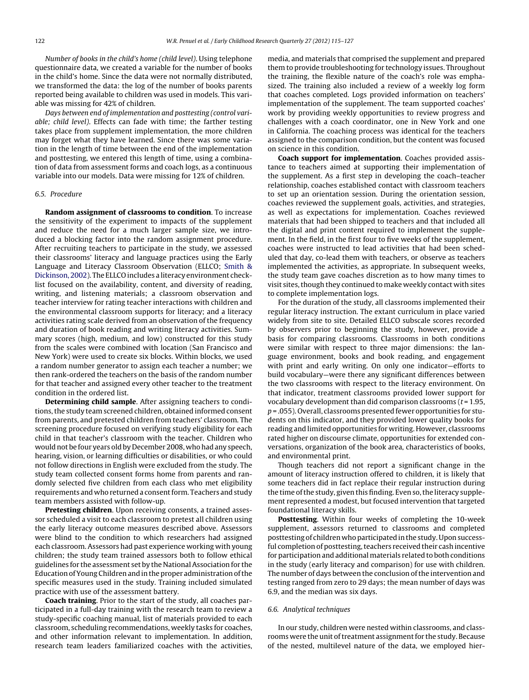Number of books in the child's home (child level). Using telephone questionnaire data, we created a variable for the number of books in the child's home. Since the data were not normally distributed, we transformed the data: the log of the number of books parents reported being available to children was used in models. This variable was missing for 42% of children.

Days between end of implementation and posttesting (control variable; child level). Effects can fade with time; the farther testing takes place from supplement implementation, the more children may forget what they have learned. Since there was some variation in the length of time between the end of the implementation and posttesting, we entered this length of time, using a combination of data from assessment forms and coach logs, as a continuous variable into our models. Data were missing for 12% of children.

#### 6.5. Procedure

**Random assignment of classrooms to condition**. To increase the sensitivity of the experiment to impacts of the supplement and reduce the need for a much larger sample size, we introduced a blocking factor into the random assignment procedure. After recruiting teachers to participate in the study, we assessed their classrooms' literacy and language practices using the Early Language and Literacy Classroom Observation (ELLCO; [Smith](#page-12-0) [&](#page-12-0) [Dickinson,](#page-12-0) [2002\).](#page-12-0) The ELLCO includes a literacy environment checklist focused on the availability, content, and diversity of reading, writing, and listening materials; a classroom observation and teacher interview for rating teacher interactions with children and the environmental classroom supports for literacy; and a literacy activities rating scale derived from an observation of the frequency and duration of book reading and writing literacy activities. Summary scores (high, medium, and low) constructed for this study from the scales were combined with location (San Francisco and New York) were used to create six blocks. Within blocks, we used a random number generator to assign each teacher a number; we then rank-ordered the teachers on the basis of the random number for that teacher and assigned every other teacher to the treatment condition in the ordered list.

**Determining child sample**. After assigning teachers to conditions,the study team screened children, obtained informed consent from parents, and pretested children from teachers' classroom. The screening procedure focused on verifying study eligibility for each child in that teacher's classroom with the teacher. Children who would not be four years old by December 2008, who had any speech, hearing, vision, or learning difficulties or disabilities, or who could not follow directions in English were excluded from the study. The study team collected consent forms home from parents and randomly selected five children from each class who met eligibility requirements and who returned a consent form. Teachers and study team members assisted with follow-up.

**Pretesting children**. Upon receiving consents, a trained assessor scheduled a visit to each classroom to pretest all children using the early literacy outcome measures described above. Assessors were blind to the condition to which researchers had assigned each classroom. Assessors had past experience working with young children; the study team trained assessors both to follow ethical guidelines for the assessment set by the National Association for the Education of Young Children and in the proper administration of the specific measures used in the study. Training included simulated practice with use of the assessment battery.

**Coach training**. Prior to the start of the study, all coaches participated in a full-day training with the research team to review a study-specific coaching manual, list of materials provided to each classroom, scheduling recommendations, weekly tasks for coaches, and other information relevant to implementation. In addition, research team leaders familiarized coaches with the activities,

media, and materials that comprised the supplement and prepared them to provide troubleshooting for technology issues. Throughout the training, the flexible nature of the coach's role was emphasized. The training also included a review of a weekly log form that coaches completed. Logs provided information on teachers' implementation of the supplement. The team supported coaches' work by providing weekly opportunities to review progress and challenges with a coach coordinator, one in New York and one in California. The coaching process was identical for the teachers assigned to the comparison condition, but the content was focused on science in this condition.

**Coach support for implementation**. Coaches provided assistance to teachers aimed at supporting their implementation of the supplement. As a first step in developing the coach–teacher relationship, coaches established contact with classroom teachers to set up an orientation session. During the orientation session, coaches reviewed the supplement goals, activities, and strategies, as well as expectations for implementation. Coaches reviewed materials that had been shipped to teachers and that included all the digital and print content required to implement the supplement. In the field, in the first four to five weeks of the supplement, coaches were instructed to lead activities that had been scheduled that day, co-lead them with teachers, or observe as teachers implemented the activities, as appropriate. In subsequent weeks, the study team gave coaches discretion as to how many times to visit sites, though they continued to make weekly contact with sites to complete implementation logs.

For the duration of the study, all classrooms implemented their regular literacy instruction. The extant curriculum in place varied widely from site to site. Detailed ELLCO subscale scores recorded by observers prior to beginning the study, however, provide a basis for comparing classrooms. Classrooms in both conditions were similar with respect to three major dimensions: the language environment, books and book reading, and engagement with print and early writing. On only one indicator—efforts to build vocabulary—were there any significant differences between the two classrooms with respect to the literacy environment. On that indicator, treatment classrooms provided lower support for vocabulary development than did comparison classrooms  $(t = 1.95,$  $p = 0.055$ ). Overall, classrooms presented fewer opportunities for students on this indicator, and they provided lower quality books for reading and limited opportunities for writing. However, classrooms rated higher on discourse climate, opportunities for extended conversations, organization of the book area, characteristics of books, and environmental print.

Though teachers did not report a significant change in the amount of literacy instruction offered to children, it is likely that some teachers did in fact replace their regular instruction during the time of the study, given this finding. Even so, the literacy supplement represented a modest, but focused intervention that targeted foundational literacy skills.

**Posttesting**. Within four weeks of completing the 10-week supplement, assessors returned to classrooms and completed posttesting of children who participated in the study. Upon successful completion of posttesting, teachers received their cash incentive for participation and additional materials related to both conditions in the study (early literacy and comparison) for use with children. The number of days between the conclusion of the intervention and testing ranged from zero to 29 days; the mean number of days was 6.9, and the median was six days.

#### 6.6. Analytical techniques

In our study, children were nested within classrooms, and classrooms were the unit of treatment assignment for the study. Because of the nested, multilevel nature of the data, we employed hier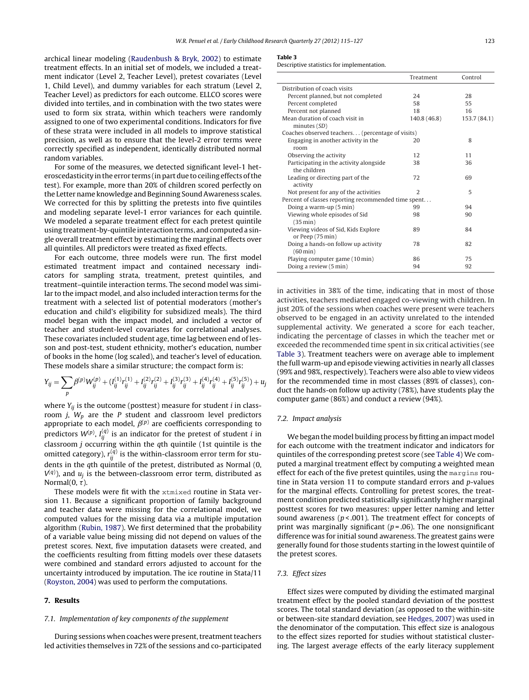archical linear modeling [\(Raudenbush](#page-12-0) [&](#page-12-0) [Bryk,](#page-12-0) [2002\)](#page-12-0) to estimate treatment effects. In an initial set of models, we included a treatment indicator (Level 2, Teacher Level), pretest covariates (Level 1, Child Level), and dummy variables for each stratum (Level 2, Teacher Level) as predictors for each outcome. ELLCO scores were divided into tertiles, and in combination with the two states were used to form six strata, within which teachers were randomly assigned to one of two experimental conditions. Indicators for five of these strata were included in all models to improve statistical precision, as well as to ensure that the level-2 error terms were correctly specified as independent, identically distributed normal random variables.

For some of the measures, we detected significant level-1 heteroscedasticity in the error terms (in part due to ceiling effects of the test). For example, more than 20% of children scored perfectly on the Letter name knowledge and Beginning SoundAwareness scales. We corrected for this by splitting the pretests into five quintiles and modeling separate level-1 error variances for each quintile. We modeled a separate treatment effect for each pretest quintile using treatment-by-quintile interactionterms, and computed a single overall treatment effect by estimating the marginal effects over all quintiles. All predictors were treated as fixed effects.

For each outcome, three models were run. The first model estimated treatment impact and contained necessary indicators for sampling strata, treatment, pretest quintiles, and treatment–quintile interaction terms. The second model was similar to the impact model, and also included interaction terms for the treatment with a selected list of potential moderators (mother's education and child's eligibility for subsidized meals). The third model began with the impact model, and included a vector of teacher and student-level covariates for correlational analyses. These covariates included student age, time lag between end of lesson and post-test, student ethnicity, mother's education, number of books in the home (log scaled), and teacher's level of education. These models share a similar structure; the compact form is:

$$
Y_{ij} = \sum_{p} \beta^{(p)} W_{ij}^{(p)} + (I_{ij}^{(1)} r_{ij}^{(1)} + I_{ij}^{(2)} r_{ij}^{(2)} + I_{ij}^{(3)} r_{ij}^{(3)} + I_{ij}^{(4)} r_{ij}^{(4)} + I_{ij}^{(5)} r_{ij}^{(5)}) + u_j
$$

where  $Y_{ij}$  is the outcome (posttest) measure for student *i* in classroom j,  $W_p$  are the P student and classroom level predictors appropriate to each model,  $\beta^{(p)}$  are coefficients corresponding to predictors  $W^{(p)}, I_{ij}^{(q)}$  is an indicator for the pretest of student *i* in classroom j occurring within the qth quintile (1st quintile is the omitted category),  $r_{ij}^{(q)}$  is the within-classroom error term for students in the qth quintile of the pretest, distributed as Normal (0,  $V^{(q)}$ ), and  $u_j$  is the between-classroom error term, distributed as Normal $(0, \tau)$ .

These models were fit with the xtmixed routine in Stata version 11. Because a significant proportion of family background and teacher data were missing for the correlational model, we computed values for the missing data via a multiple imputation algorithm ([Rubin,](#page-12-0) [1987\).](#page-12-0) We first determined that the probability of a variable value being missing did not depend on values of the pretest scores. Next, five imputation datasets were created, and the coefficients resulting from fitting models over these datasets were combined and standard errors adjusted to account for the uncertainty introduced by imputation. The ice routine in Stata/11 ([Royston,](#page-12-0) [2004\)](#page-12-0) was used to perform the computations.

### **7. Results**

#### 7.1. Implementation of key components of the supplement

During sessions when coaches were present, treatment teachers led activities themselves in 72% of the sessions and co-participated

#### **Table 3**

Descriptive statistics for implementation.

|                                                           | Treatment     | Control      |  |  |
|-----------------------------------------------------------|---------------|--------------|--|--|
| Distribution of coach visits                              |               |              |  |  |
| Percent planned, but not completed                        | 24            | 28           |  |  |
| Percent completed                                         | 58            | 55           |  |  |
| Percent not planned                                       | 18            | 16           |  |  |
| Mean duration of coach visit in<br>minutes(SD)            | 140.8 (46.8)  | 153.7 (84.1) |  |  |
| Coaches observed teachers (percentage of visits)          |               |              |  |  |
| Engaging in another activity in the<br>room               | 20            | 8            |  |  |
| Observing the activity                                    | 12            | 11           |  |  |
| Participating in the activity alongside<br>the children   | 38            | 36           |  |  |
| Leading or directing part of the<br>activity              | 72            | 69           |  |  |
| Not present for any of the activities                     | $\mathcal{L}$ | 5            |  |  |
| Percent of classes reporting recommended time spent       |               |              |  |  |
| Doing a warm-up (5 min)                                   | 99            | 94           |  |  |
| Viewing whole episodes of Sid<br>$(35 \text{ min})$       | 98            | 90           |  |  |
| Viewing videos of Sid, Kids Explore<br>or Peep (75 min)   | 89            | 84           |  |  |
| Doing a hands-on follow up activity<br>$(60 \text{ min})$ | 78            | 82           |  |  |
| Playing computer game (10 min)                            | 86            | 75           |  |  |
| Doing a review (5 min)                                    | 94            | 92           |  |  |
|                                                           |               |              |  |  |

in activities in 38% of the time, indicating that in most of those activities, teachers mediated engaged co-viewing with children. In just 20% of the sessions when coaches were present were teachers observed to be engaged in an activity unrelated to the intended supplemental activity. We generated a score for each teacher, indicating the percentage of classes in which the teacher met or exceeded the recommended time spent in six critical activities (see Table 3). Treatment teachers were on average able to implement the full warm-up and episode viewing activities in nearly all classes (99% and 98%, respectively). Teachers were also able to view videos for the recommended time in most classes (89% of classes), conduct the hands-on follow up activity (78%), have students play the computer game (86%) and conduct a review (94%).

### 7.2. Impact analysis

We began the model building process by fitting an impact model for each outcome with the treatment indicator and indicators for quintiles of the corresponding pretest score (see [Table](#page-9-0) 4) We computed a marginal treatment effect by computing a weighted mean effect for each of the five pretest quintiles, using the margins routine in Stata version 11 to compute standard errors and p-values for the marginal effects. Controlling for pretest scores, the treatment condition predicted statistically significantly higher marginal posttest scores for two measures: upper letter naming and letter sound awareness ( $p < .001$ ). The treatment effect for concepts of print was marginally significant ( $p = .06$ ). The one nonsignificant difference was for initial sound awareness. The greatest gains were generally found for those students starting in the lowest quintile of the pretest scores.

### 7.3. Effect sizes

Effect sizes were computed by dividing the estimated marginal treatment effect by the pooled standard deviation of the posttest scores. The total standard deviation (as opposed to the within-site or between-site standard deviation, see [Hedges,](#page-11-0) [2007\)](#page-11-0) was used in the denominator of the computation. This effect size is analogous to the effect sizes reported for studies without statistical clustering. The largest average effects of the early literacy supplement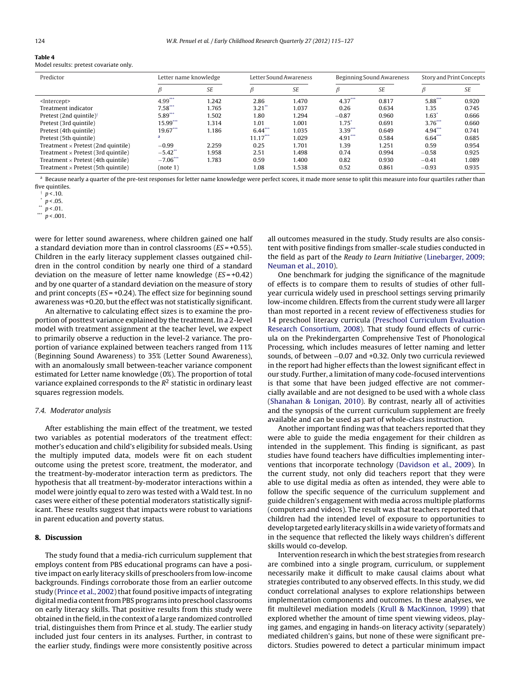#### <span id="page-9-0"></span>**Table 4** Model results: pretest covariate only.

| Predictor                                 |            | Letter name knowledge |            | Letter Sound Awareness |                | Beginning Sound Awareness |                     | Story and Print Concepts |  |
|-------------------------------------------|------------|-----------------------|------------|------------------------|----------------|---------------------------|---------------------|--------------------------|--|
|                                           | ĸ          | <b>SE</b>             | r,         | <b>SE</b>              |                | SE                        |                     | SE                       |  |
| <intercept></intercept>                   | $4.99***$  | 1.242                 | 2.86       | 1.470                  | $4.37***$      | 0.817                     | $5.88***$           | 0.920                    |  |
| Treatment indicator                       | $7.58***$  | 1.765                 | 3.21       | 1.037                  | 0.26           | 0.634                     | 1.35                | 0.745                    |  |
| Pretest (2nd quintile) <sup>†</sup>       | $5.89***$  | 1.502                 | 1.80       | 1.294                  | $-0.87$        | 0.960                     | $1.63$ <sup>*</sup> | 0.666                    |  |
| Pretest (3rd quintile)                    | $15.99***$ | 1.314                 | 1.01       | 1.001                  | $1.75^{\circ}$ | 0.691                     | $3.76***$           | 0.660                    |  |
| Pretest (4th quintile)                    | 19.67***   | 1.186                 | $6.44$ *** | 1.035                  | $3.39***$      | 0.649                     | $4.94***$           | 0.741                    |  |
| Pretest (5th quintile)                    | a          |                       | $11.17***$ | 1.029                  | $4.91***$      | 0.584                     | $6.64***$           | 0.685                    |  |
| Treatment $\times$ Pretest (2nd quintile) | $-0.99$    | 2.259                 | 0.25       | 1.701                  | 1.39           | 1.251                     | 0.59                | 0.954                    |  |
| Treatment $\times$ Pretest (3rd quintile) | $-5.42$    | 1.958                 | 2.51       | 1.498                  | 0.74           | 0.994                     | $-0.58$             | 0.925                    |  |
| Treatment $\times$ Pretest (4th quintile) | $-7.06***$ | 1.783                 | 0.59       | 1.400                  | 0.82           | 0.930                     | $-0.41$             | 1.089                    |  |
| Treatment $\times$ Pretest (5th quintile) | (note 1)   |                       | 1.08       | 1.538                  | 0.52           | 0.861                     | $-0.93$             | 0.935                    |  |

a Because nearly a quarter of the pre-test responses for letter name knowledge were perfect scores, it made more sense to split this measure into four quartiles rather than five quintiles.

\*\*  $p < .01$ .  $p < .001$ .

were for letter sound awareness, where children gained one half a standard deviation more than in control classrooms  $(ES = +0.55)$ . Children in the early literacy supplement classes outgained children in the control condition by nearly one third of a standard deviation on the measure of letter name knowledge  $(ES = +0.42)$ and by one quarter of a standard deviation on the measure of story and print concepts ( $ES = +0.24$ ). The effect size for beginning sound awareness was +0.20, but the effect was not statistically significant.

An alternative to calculating effect sizes is to examine the proportion of posttest variance explained by the treatment. In a 2-level model with treatment assignment at the teacher level, we expect to primarily observe a reduction in the level-2 variance. The proportion of variance explained between teachers ranged from 11% (Beginning Sound Awareness) to 35% (Letter Sound Awareness), with an anomalously small between-teacher variance component estimated for Letter name knowledge (0%). The proportion of total variance explained corresponds to the  $R^2$  statistic in ordinary least squares regression models.

#### 7.4. Moderator analysis

After establishing the main effect of the treatment, we tested two variables as potential moderators of the treatment effect: mother's education and child's eligibility for subsided meals. Using the multiply imputed data, models were fit on each student outcome using the pretest score, treatment, the moderator, and the treatment-by-moderator interaction term as predictors. The hypothesis that all treatment-by-moderator interactions within a model were jointly equal to zero was tested with a Wald test. In no cases were either of these potential moderators statistically significant. These results suggest that impacts were robust to variations in parent education and poverty status.

### **8. Discussion**

The study found that a media-rich curriculum supplement that employs content from PBS educational programs can have a positive impact on early literacy skills of preschoolers from low-income backgrounds. Findings corroborate those from an earlier outcome study ([Prince](#page-11-0) et [al.,](#page-11-0) 2002) that found positive impacts of integrating digital media content from PBS programs into preschool classrooms on early literacy skills. That positive results from this study were obtained in the field, in the context of a large randomized controlled trial, distinguishes them from Prince et al. study. The earlier study included just four centers in its analyses. Further, in contrast to the earlier study, findings were more consistently positive across

all outcomes measured in the study. Study results are also consistent with positive findings from smaller-scale studies conducted in the field as part of the Ready to Learn Initiative ([Linebarger,](#page-11-0) [2009;](#page-11-0) [Neuman](#page-11-0) et [al.,](#page-11-0) [2010\).](#page-11-0)

One benchmark for judging the significance of the magnitude of effects is to compare them to results of studies of other fullyear curricula widely used in preschool settings serving primarily low-income children. Effects from the current study were all larger than most reported in a recent review of effectiveness studies for 14 preschool literacy curricula [\(Preschool](#page-11-0) [Curriculum](#page-11-0) [Evaluation](#page-11-0) [Research](#page-11-0) [Consortium,](#page-11-0) [2008\).](#page-11-0) That study found effects of curricula on the Prekindergarten Comprehensive Test of Phonological Processing, which includes measures of letter naming and letter sounds, of between −0.07 and +0.32. Only two curricula reviewed in the report had higher effects than the lowest significant effect in our study. Further, a limitation of many code-focused interventions is that some that have been judged effective are not commercially available and are not designed to be used with a whole class [\(Shanahan](#page-12-0) [&](#page-12-0) [Lonigan,](#page-12-0) [2010\).](#page-12-0) By contrast, nearly all of activities and the synopsis of the current curriculum supplement are freely available and can be used as part of whole-class instruction.

Another important finding was that teachers reported that they were able to guide the media engagement for their children as intended in the supplement. This finding is significant, as past studies have found teachers have difficulties implementing interventions that incorporate technology ([Davidson](#page-11-0) [et](#page-11-0) [al.,](#page-11-0) [2009\).](#page-11-0) In the current study, not only did teachers report that they were able to use digital media as often as intended, they were able to follow the specific sequence of the curriculum supplement and guide children's engagement with media across multiple platforms (computers and videos). The result was that teachers reported that children had the intended level of exposure to opportunities to develop targeted early literacy skills in a wide variety of formats and in the sequence that reflected the likely ways children's different skills would co-develop.

Intervention research in which the best strategies from research are combined into a single program, curriculum, or supplement necessarily make it difficult to make causal claims about what strategies contributed to any observed effects. In this study, we did conduct correlational analyses to explore relationships between implementation components and outcomes. In these analyses, we fit multilevel mediation models ([Krull](#page-11-0) [&](#page-11-0) [MacKinnon,](#page-11-0) [1999\)](#page-11-0) that explored whether the amount of time spent viewing videos, playing games, and engaging in hands-on literacy activity (separately) mediated children's gains, but none of these were significant predictors. Studies powered to detect a particular minimum impact

 $p < 10.$ 

 $\int_{0}^{x} p < .05$ .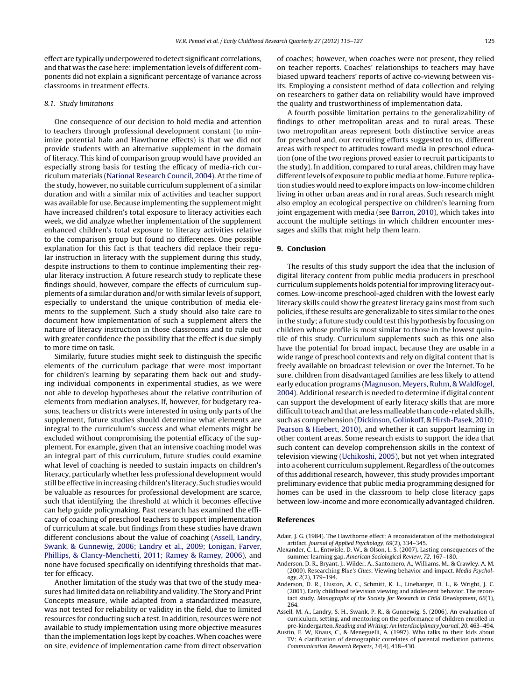<span id="page-10-0"></span>effect are typically underpowered to detect significant correlations, and that was the case here: implementation levels of different components did not explain a significant percentage of variance across classrooms in treatment effects.

#### 8.1. Study limitations

One consequence of our decision to hold media and attention to teachers through professional development constant (to minimize potential halo and Hawthorne effects) is that we did not provide students with an alternative supplement in the domain of literacy. This kind of comparison group would have provided an especially strong basis for testing the efficacy of media-rich curriculum materials ([National](#page-11-0) [Research](#page-11-0) [Council,](#page-11-0) [2004\).](#page-11-0) At the time of the study, however, no suitable curriculum supplement of a similar duration and with a similar mix of activities and teacher support was available for use. Because implementing the supplement might have increased children's total exposure to literacy activities each week, we did analyze whether implementation of the supplement enhanced children's total exposure to literacy activities relative to the comparison group but found no differences. One possible explanation for this fact is that teachers did replace their regular instruction in literacy with the supplement during this study, despite instructions to them to continue implementing their regular literacy instruction. A future research study to replicate these findings should, however, compare the effects of curriculum supplements of a similar duration and/or with similar levels of support, especially to understand the unique contribution of media elements to the supplement. Such a study should also take care to document how implementation of such a supplement alters the nature of literacy instruction in those classrooms and to rule out with greater confidence the possibility that the effect is due simply to more time on task.

Similarly, future studies might seek to distinguish the specific elements of the curriculum package that were most important for children's learning by separating them back out and studying individual components in experimental studies, as we were not able to develop hypotheses about the relative contribution of elements from mediation analyses. If, however, for budgetary reasons, teachers or districts were interested in using only parts of the supplement, future studies should determine what elements are integral to the curriculum's success and what elements might be excluded without compromising the potential efficacy of the supplement. For example, given that an intensive coaching model was an integral part of this curriculum, future studies could examine what level of coaching is needed to sustain impacts on children's literacy, particularly whether less professional development would still be effective in increasing children's literacy. Such studies would be valuable as resources for professional development are scarce, such that identifying the threshold at which it becomes effective can help guide policymaking. Past research has examined the efficacy of coaching of preschool teachers to support implementation of curriculum at scale, but findings from these studies have drawn different conclusions about the value of coaching (Assell, Landry, Swank, & Gunnewig, 2006; Landry et al., 2009; Lonigan, Farver, Phillips, & Clancy-Menchetti, 2011; Ramey & Ramey, 2006), and none have focused specifically on identifying thresholds that matter for efficacy.

Another limitation of the study was that two of the study measures had limited data on reliability and validity. The Story and Print Concepts measure, while adapted from a standardized measure, was not tested for reliability or validity in the field, due to limited resources for conducting such a test. In addition, resources were not available to study implementation using more objective measures than the implementation logs kept by coaches. When coaches were on site, evidence of implementation came from direct observation of coaches; however, when coaches were not present, they relied on teacher reports. Coaches' relationships to teachers may have biased upward teachers' reports of active co-viewing between visits. Employing a consistent method of data collection and relying on researchers to gather data on reliability would have improved the quality and trustworthiness of implementation data.

A fourth possible limitation pertains to the generalizability of findings to other metropolitan areas and to rural areas. These two metropolitan areas represent both distinctive service areas for preschool and, our recruiting efforts suggested to us, different areas with respect to attitudes toward media in preschool education (one of the two regions proved easier to recruit participants to the study). In addition, compared to rural areas, children may have different levels of exposure to public media at home. Future replication studies would need to explore impacts on low-income children living in other urban areas and in rural areas. Such research might also employ an ecological perspective on children's learning from joint engagement with media (see [Barron,](#page-11-0) [2010\),](#page-11-0) which takes into account the multiple settings in which children encounter messages and skills that might help them learn.

### **9. Conclusion**

The results of this study support the idea that the inclusion of digital literacy content from public media producers in preschool curriculum supplements holds potential for improving literacy outcomes. Low-income preschool-aged children with the lowest early literacy skills could show the greatest literacy gains most from such policies, ifthese results are generalizable to sites similar to the ones in the study; a future study could testthis hypothesis by focusing on children whose profile is most similar to those in the lowest quintile of this study. Curriculum supplements such as this one also have the potential for broad impact, because they are usable in a wide range of preschool contexts and rely on digital content that is freely available on broadcast television or over the Internet. To be sure, children from disadvantaged families are less likely to attend early education programs ([Magnuson,](#page-11-0) [Meyers,](#page-11-0) [Ruhm,](#page-11-0) [&](#page-11-0) [Waldfogel,](#page-11-0) [2004\).](#page-11-0) Additional research is needed to determine if digital content can support the development of early literacy skills that are more difficult to teach and that are less malleable than code-related skills, such as comprehension ([Dickinson,](#page-11-0) [Golinkoff,](#page-11-0) [&](#page-11-0) [Hirsh-Pasek,](#page-11-0) [2010;](#page-11-0) [Pearson](#page-11-0) [&](#page-11-0) [Hiebert,](#page-11-0) [2010\),](#page-11-0) and whether it can support learning in other content areas. Some research exists to support the idea that such content can develop comprehension skills in the context of television viewing [\(Uchikoshi,](#page-12-0) [2005\),](#page-12-0) but not yet when integrated into a coherent curriculum supplement. Regardless of the outcomes of this additional research, however, this study provides important preliminary evidence that public media programming designed for homes can be used in the classroom to help close literacy gaps between low-income and more economically advantaged children.

#### **References**

- Adair, J. G. (1984). The Hawthorne effect: A reconsideration of the methodological artifact. Journal of Applied Psychology, 69(2), 334–345.
- Alexander, C. L., Entwisle, D. W., & Olson, L. S. (2007). Lasting consequences of the summer learning gap. American Sociological Review, 72, 167–180.
- Anderson, D. R., Bryant, J., Wilder, A., Santomero, A., Williams, M., & Crawley, A. M. (2000). Researching Blue's Clues: Viewing behavior and impact. Media Psychology, 2(2), 179–194.
- Anderson, D. R., Huston, A. C., Schmitt, K. L., Linebarger, D. L., & Wright, J. C. (2001). Early childhood television viewing and adolescent behavior. The recontact study. Monographs of the Society for Research in Child Development, 66(1), 264.
- Assell, M. A., Landry, S. H., Swank, P. R., & Gunnewig, S. (2006). An evaluation of curriculum, setting, and mentoring on the performance of children enrolled in pre-kindergarten. Reading and Writing: An Interdisciplinary Journal, 20, 463–494.
- Austin, E. W, Knaus, C., & Meneguelli, A. (1997). Who talks to their kids about TV: A clarification of demographic correlates of parental mediation patterns. Communication Research Reports, 14(4), 418–430.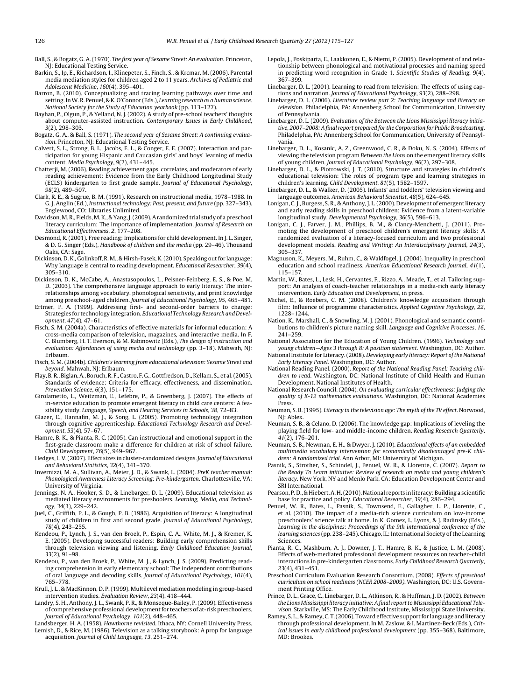<span id="page-11-0"></span>Ball, S., & Bogatz, G. A. (1970). The first year of Sesame Street: An evaluation. Princeton, NJ: Educational Testing Service.

Barkin, S., Ip, E., Richardson, I., Klinepeter, S., Finch, S., & Krcmar, M. (2006). Parental media mediation styles for children aged 2 to 11 years. Archives of Pediatric and Adolescent Medicine, 160(4), 395–401.

Barron, B. (2010). Conceptualizing and tracing learning pathways over time and setting. In W.R. Penuel, & K. O'Connor (Eds.), Learning research as a human science. National Society for the Study of Education yearbook (pp. 113–127).

- Bayhan, P., Olgun, P., & Yelland, N. J. (2002). A study of pre-school teachers' thoughts about computer-assisted instruction. Contemporary Issues in Early Childhood, 3(2), 298–303.
- Bogatz, G. A., & Ball, S. (1971). The second year of Sesame Street: A continuing evaluation. Princeton, NJ: Educational Testing Service.
- Calvert, S. L., Strong, B. L., Jacobs, E. L., & Conger, E. E. (2007). Interaction and participation for young Hispanic and Caucasian girls' and boys' learning of media content. Media Psychology, 9(2), 431–445.
- Chatterji, M. (2006). Reading achievement gaps, correlates, and moderators of early reading achievement: Evidence from the Early Childhood Longitudinal Study (ECLS) kindergarten to first grade sample. Journal of Educational Psychology, 98(2), 489–507.
- Clark, R. E., & Sugrue, B. M. (1991). Research on instructional media, 1978–1988. In G. J. Anglin (Ed.), Instructional technology: Past, present, and future (pp. 327–343). Englewood, CO: Libraries Unlimited.
- Davidson, M. R., Fields, M. K., & Yang, J. (2009). A randomized trial study of a preschool literacy curriculum: The importance of implementation. Journal of Research on Educational Effectiveness, 2, 177–208.
- Desmond, R. (2001). Free reading: Implications for child development. In J. L. Singer, & D. G. Singer (Eds.), Handbook of children and the media (pp. 29–46). Thousand Oaks, CA: Sage.
- Dickinson, D. K., Golinkoff, R. M., & Hirsh-Pasek, K. (2010). Speaking out for language: Why language is central to reading development. Educational Researcher, 39(4), 305–310.
- Dickinson, D. K., McCabe, A., Anastasopoulos, L., Peisner-Feinberg, E. S., & Poe, M. D. (2003). The comprehensive language approach to early literacy: The interrelationships among vocabulary, phonological sensitivity, and print knowledge among preschool-aged children. Journal of Educational Psychology, 95, 465–481.
- Ertmer, P. A. (1999). Addressing first- and second-order barriers to change: Strategies for technology integration. Educational Technology Research and Development, 47(4), 47–61.
- Fisch, S. M. (2004a). Characteristics of effective materials for informal education: A cross-media comparison of television, magazines, and interactive media. In F.<br>C. Blumberg, H. T. Everson, & M. Rabinowitz (Eds.), *The design of instruction and* evaluation: Affordances of using media and technology (pp. 3–18). Mahwah, NJ: Erlbaum.
- Fisch, S. M. (2004b). Children's learning from educational television: Sesame Street and beyond. Mahwah, NJ: Erlbaum.
- Flay, B. R., Biglan,A., Boruch, R. F., Castro, F. G., Gottfredson, D.,Kellam, S., et al.(2005). Standards of evidence: Criteria for efficacy, effectiveness, and dissemination. Prevention Science, 6(3), 151–175.
- Girolametto, L., Weitzman, E., Lefebre, P., & Greenberg, J. (2007). The effects of in-service education to promote emergent literacy in child care centers: A feasibility study. Language, Speech, and Hearing Services in Schools, 38, 72–83.
- Glazer, E., Hannafin, M. J., & Song, L. (2005). Promoting technology integration through cognitive apprenticeship. Educational Technology Research and Development, 53(4), 57–67.
- Hamre, B. K., & Pianta, R. C. (2005). Can instructional and emotional support in the first-grade classroom make a difference for children at risk of school failure. Child Development, 76(5), 949–967.
- Hedges, L.V.(2007). Effect sizes in cluster-randomized designs. Journal of Educational and Behavioral Statistics, 32(4), 341–370.
- Invernizzi, M. A., Sullivan, A., Meier, J. D., & Swank, L. (2004). PreK teacher manual: Phonological Awareness Literacy Screening: Pre-kindergarten. Charlottesville, VA: University of Virginia.
- Jennings, N. A., Hooker, S. D., & Linebarger, D. L. (2009). Educational television as mediated literacy environments for preshoolers. Learning, Media, and Technology, 34(3), 229–242.
- Juel, C., Griffith, P. L., & Gough, P. B. (1986). Acquisition of literacy: A longitudinal study of children in first and second grade. Journal of Educational Psychology, 78(4), 243–255.
- Kendeou, P., Lynch, J. S., van den Broek, P., Espin, C. A., White, M. J., & Kremer, K. E. (2005). Developing successful readers: Building early comprehension skills through television viewing and listening. Early Childhood Education Journal, 33(2), 91–98.
- Kendeou, P., van den Broek, P., White, M. J., & Lynch, J. S. (2009). Predicting reading comprehension in early elementary school: The independent contributions of oral language and decoding skills. Journal of Educational Psychology, 101(4), 765–778.
- Krull, J. L., & MacKinnon, D. P. (1999). Multilevel mediation modeling in group-based intervention studies. Evaluation Review, 23(4), 418–444.
- Landry, S. H., Anthony, J. L., Swank, P. R., & Monseque-Bailey, P. (2009). Effectiveness of comprehensive professional development for teachers of at-risk preschoolers. Journal of Educational Psychology, 101(2), 448–465.

Landsberger, H. A. (1958). Hawthorne revisited. Ithaca, NY: Cornell University Press. Lemish, D., & Rice, M. (1986). Television as a talking storybook: A prop for language

acquisition. Journal of Child Language, 13, 251–274.

- Lepola, J., Poskiparta, E., Laakkonen, E., & Niemi, P. (2005). Development of and relationship between phonological and motivational processes and naming speed in predicting word recognition in Grade 1. Scientific Studies of Reading, 9(4), 367–399.
- Linebarger, D. L. (2001). Learning to read from television: The effects of using captions and narration. Journal of Educational Psychology, 93(2), 288–298.
- Linebarger, D. L. (2006). Literature review part 2: Teaching language and literacy on television. Philadelphia, PA: Annenberg School for Communication, University of Pennsylvania.
- Linebarger, D. L. (2009). Evaluation of the Between the Lions Mississippi literacy initiative, 2007–2008: A final report prepared for the Corporation for Public Broadcasting. Philadelphia, PA: Annenberg School for Communication, University of Pennsylvania.
- Linebarger, D. L., Kosanic, A. Z., Greenwood, C. R., & Doku, N. S. (2004). Effects of viewing the television program Between the Lions on the emergent literacy skills of young children. Journal of Educational Psychology, 96(2), 297–308.
- Linebarger, D. L., & Piotrowski, J. T. (2010). Structure and strategies in children's educational television: The roles of program type and learning strategies in children's learning. Child Development, 81(5), 1582–1597.
- Linebarger, D. L., & Walker, D. (2005). Infants' and toddlers' television viewing and language outcomes. American Behavioral Scientist, 48(5), 624–645.
- Lonigan, C. J., Burgess, S. R., & Anthony, J. L. (2000). Development of emergent literacy and early reading skills in preschool children: Evidence from a latent-variable longitudinal study. Developmental Psychology, 36(5), 596–613.
- Lonigan, C. J., Farver, J. M., Phillips, B. M., & Clancy-Menchetti, J. (2011). Promoting the development of preschool children's emergent literacy skills: A randomized evaluation of a literacy-focused curriculum and two professional development models. Reading and Writing: An Interdisciplinary Journal, 24(3), 305–337.
- Magnuson, K., Meyers, M., Ruhm, C., & Waldfogel, J. (2004). Inequality in preschool education and school readiness. American Educational Research Journal, 41(1), 115–157.
- Martin, W., Bates, L., Lesk, H., Cervantes, F., Rizzo, A., Meade, T., et al. Tailoring support: An analysis of coach-teacher relationships in a media-rich early literacy intervention. Early Education and Development, in press.
- Michel, E., & Roebers, C. M. (2008). Children's knowledge acquisition through film: Influence of programme characteristics. Applied Cognitive Psychology, 22, 1228–1244.
- Nation, K., Marshall, C., & Snowling, M. J. (2001). Phonological and semantic contributions to children's picture naming skill. Language and Cognitive Processes, 16, 241–259.
- National Association for the Education of Young Children. (1996). Technology and young children—Ages 3 through 8: A position statement. Washington, DC: Author.
- National Institute for Literacy.(2008). Developing early literacy: Report of the National Early Literacy Panel. Washington, DC: Author.
- National Reading Panel. (2000). Report of the National Reading Panel: Teaching children to read. Washington, DC: National Institute of Child Health and Human Development, National Institutes of Health.
- National Research Council. (2004). On evaluating curricular effectiveness: Judging the quality of K-12 mathematics evaluations. Washington, DC: National Academies Press.
- Neuman, S. B.(1995). Literacy in the television age: The myth of the TV effect. Norwood, NI: Ablex.
- Neuman, S. B., & Celano, D. (2006). The knowledge gap: Implications of leveling the playing field for low- and middle-income children. Reading Research Quarterly, 41(2), 176–201.
- Neuman, S. B., Newman, E. H., & Dwyer, J. (2010). Educational effects of an embedded multimedia vocabulary intervention for economically disadvantaged pre-K chil-dren: A randomized trial. Ann Arbor, MI: University of Michigan.
- Pasnik, S., Strother, S., Schindel, J., Penuel, W. R., & Llorente, C. (2007). Report to the Ready To Learn initiative: Review of research on media and young children's literacy. New York, NY and Menlo Park, CA: Education Development Center and SRI International.
- Pearson, P.D., & Hiebert, A.H. (2010). National reports in literacy: Building a scientific base for practice and policy. Educational Researcher, 39(4), 286–294.
- Penuel, W. R., Bates, L., Pasnik, S., Townsend, E., Gallagher, L. P., Llorente, C., et al. (2010). The impact of a media-rich science curriculum on low-income preschoolers' science talk at home. In K. Gomez, L. Lyons, & J. Radinsky (Eds.), Learning in the disciplines: Proceedings of the 9th international conference of the learning sciences (pp. 238-245). Chicago, IL: International Society of the Learning **Sciences**
- Pianta, R. C., Mashburn, A. J., Downer, J. T., Hamre, B. K., & Justice, L. M. (2008). Effects of web-mediated professional development resources on teacher–child interactions in pre-kindergarten classrooms. Early Childhood Research Quarterly, 23(4), 431–451.
- Preschool Curriculum Evaluation Research Consortium. (2008). Effects of preschool curriculum on school readiness (NCER 2008–2009). Washington, DC: U.S. Government Printing Office.
- Prince, D. L., Grace, C., Linebarger, D. L., Atkinson, R., & Huffman, J. D. (2002). Between the Lions Mississippi literacy initiative: A final report to Mississippi Educational Televison. Starkville, MS: The Early Childhood Institute, Mississippi State University.
- Ramey, S. L., & Ramey, C. T. (2006). Toward effective support for language and literacy through professional development. In M. Zaslow, & I. Martinez-Beck (Eds.), Critical issues in early childhood professional development (pp. 355–368). Baltimore, MD: Brookes.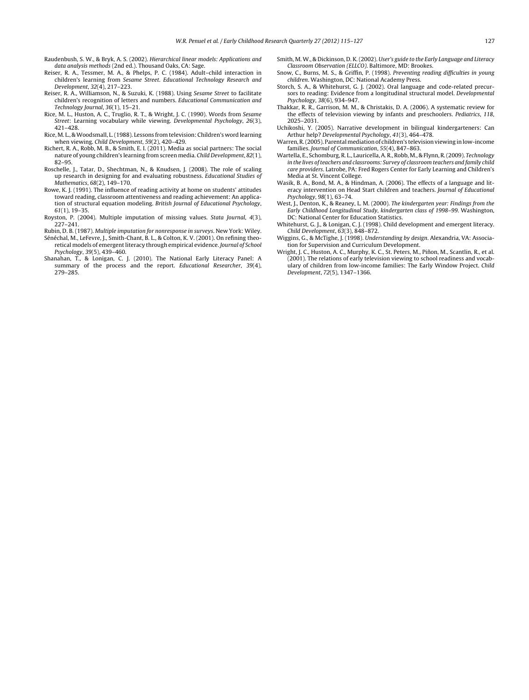- <span id="page-12-0"></span>Raudenbush, S. W., & Bryk, A. S. (2002). Hierarchical linear models: Applications and data analysis methods (2nd ed.). Thousand Oaks, CA: Sage.
- Reiser, R. A., Tessmer, M. A., & Phelps, P. C. (1984). Adult–child interaction in children's learning from Sesame Street. Educational Technology Research and Development, 32(4), 217–223.
- Reiser, R. A., Williamson, N., & Suzuki, K. (1988). Using Sesame Street to facilitate children's recognition of letters and numbers. Educational Communication and Technology Journal, 36(1), 15–21.
- Rice, M. L., Huston, A. C., Truglio, R. T., & Wright, J. C. (1990). Words from Sesame Street: Learning vocabulary while viewing. Developmental Psychology, 26(3), 421–428.
- Rice, M. L., &Woodsmall, L.(1988). Lessons from television: Children's word learning when viewing. Child Development, 59(2), 420–429.
- Richert, R. A., Robb, M. B., & Smith, E. I. (2011). Media as social partners: The social nature of young children's learning from screen media. Child Development, 82(1), 82–95.
- Roschelle, J., Tatar, D., Shechtman, N., & Knudsen, J. (2008). The role of scaling up research in designing for and evaluating robustness. Educational Studies of Mathematics, 68(2), 149–170.
- Rowe, K. J. (1991). The influence of reading activity at home on students' attitudes toward reading, classroom attentiveness and reading achievement: An application of structural equation modeling. British Journal of Educational Psychology, 61(1), 19–35.
- Royston, P. (2004). Multiple imputation of missing values. Stata Journal, 4(3), 227–241.
- Rubin, D. B. (1987). Multiple imputation for nonresponse in surveys. New York: Wiley. Sénéchal, M., LeFevre, J., Smith-Chant, B. L., & Colton, K. V. (2001). On refining theoretical models of emergent literacy through empirical evidence. Journal of School Psychology, 39(5), 439–460.
- Shanahan, T., & Lonigan, C. J. (2010). The National Early Literacy Panel: A summary of the process and the report. Educational Researcher, 39(4), 279–285.
- Smith, M. W., & Dickinson, D. K.(2002). User's guide to the Early Language and Literacy Classroom Observation (ELLCO). Baltimore, MD: Brookes.
- Snow, C., Burns, M. S., & Griffin, P. (1998). Preventing reading difficulties in young children. Washington, DC: National Academy Press.
- Storch, S. A., & Whitehurst, G. J. (2002). Oral language and code-related precursors to reading: Evidence from a longitudinal structural model. Developmental Psychology, 38(6), 934–947.
- Thakkar, R. R., Garrison, M. M., & Christakis, D. A. (2006). A systematic review for the effects of television viewing by infants and preschoolers. Pediatrics, 118, 2025–2031.
- Uchikoshi, Y. (2005). Narrative development in bilingual kindergarteners: Can Arthur help? Developmental Psychology, 41(3), 464–478.
- Warren,R.(2005). Parentalmediation of children's television viewing in low-income families. Journal of Communication, 55(4), 847–863.
- Wartella, E., Schomburg,R. L., Lauricella,A.R.,Robb,M., & Flynn,R.(2009). Technology in the lives ofteachers and classrooms: Survey of classroom teachers and family child care providers. Latrobe, PA: Fred Rogers Center for Early Learning and Children's Media at St. Vincent College.
- Wasik, B. A., Bond, M. A., & Hindman, A. (2006). The effects of a language and literacy intervention on Head Start children and teachers. Journal of Educational Psychology, 98(1), 63–74.
- West, J., Denton, K., & Reaney, L. M. (2000). The kindergarten year: Findings from the Early Childhood Longitudinal Study, kindergarten class of 1998–99. Washington, DC: National Center for Education Statistics.
- Whitehurst, G. J., & Lonigan, C. J. (1998). Child development and emergent literacy. Child Development, 63(3), 848–872.
- Wiggins, G., & McTighe, J. (1998). Understanding by design. Alexandria, VA: Association for Supervision and Curriculum Development.
- Wright, J. C., Huston, A. C., Murphy, K. C., St. Peters, M., Piñon, M., Scantlin, R., et al. (2001). The relations of early television viewing to school readiness and vocabulary of children from low-income families: The Early Window Project. Child Development, 72(5), 1347–1366.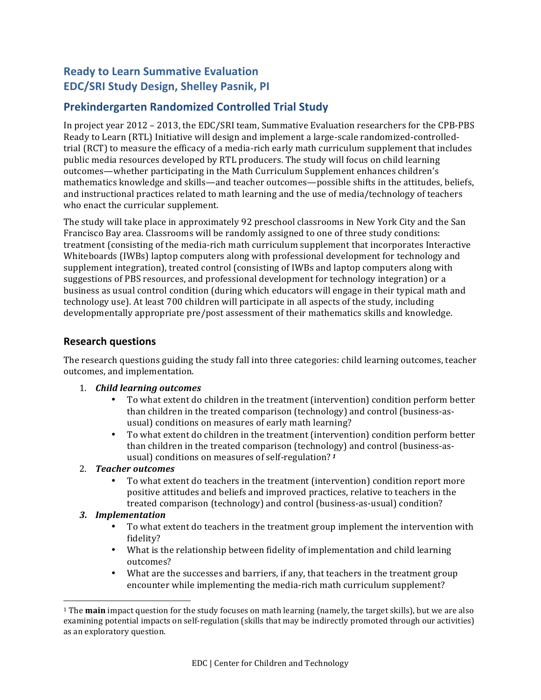# **Ready to Learn Summative Evaluation EDC/SRI Study Design, Shelley Pasnik, PI**

# **Prekindergarten Randomized Controlled Trial Study**

In project year 2012 – 2013, the EDC/SRI team, Summative Evaluation researchers for the CPB-PBS Ready to Learn (RTL) Initiative will design and implement a large-scale randomized-controlledtrial (RCT) to measure the efficacy of a media-rich early math curriculum supplement that includes public media resources developed by RTL producers. The study will focus on child learning outcomes—whether participating in the Math Curriculum Supplement enhances children's mathematics knowledge and skills—and teacher outcomes—possible shifts in the attitudes, beliefs, and instructional practices related to math learning and the use of media/technology of teachers who enact the curricular supplement.

The study will take place in approximately 92 preschool classrooms in New York City and the San Francisco Bay area. Classrooms will be randomly assigned to one of three study conditions: treatment (consisting of the media-rich math curriculum supplement that incorporates Interactive Whiteboards (IWBs) laptop computers along with professional development for technology and supplement integration), treated control (consisting of IWBs and laptop computers along with suggestions of PBS resources, and professional development for technology integration) or a business as usual control condition (during which educators will engage in their typical math and technology use). At least 700 children will participate in all aspects of the study, including developmentally appropriate pre/post assessment of their mathematics skills and knowledge.

# **Research questions**

The research questions guiding the study fall into three categories: child learning outcomes, teacher outcomes, and implementation.

- 1. *Child learning outcomes*
	- To what extent do children in the treatment (intervention) condition perform better than children in the treated comparison (technology) and control (business-asusual) conditions on measures of early math learning?
	- To what extent do children in the treatment (intervention) condition perform better than children in the treated comparison (technology) and control (business-asusual) conditions on measures of self-regulation?<sup>1</sup>

## 2. **Teacher outcomes**

• To what extent do teachers in the treatment (intervention) condition report more positive attitudes and beliefs and improved practices, relative to teachers in the treated comparison (technology) and control (business-as-usual) condition?

## *3. Implementation*

 

- To what extent do teachers in the treatment group implement the intervention with fidelity?
- What is the relationship between fidelity of implementation and child learning outcomes?
- What are the successes and barriers, if any, that teachers in the treatment group encounter while implementing the media-rich math curriculum supplement?

<sup>&</sup>lt;sup>1</sup> The **main** impact question for the study focuses on math learning (namely, the target skills), but we are also examining potential impacts on self-regulation (skills that may be indirectly promoted through our activities) as an exploratory question.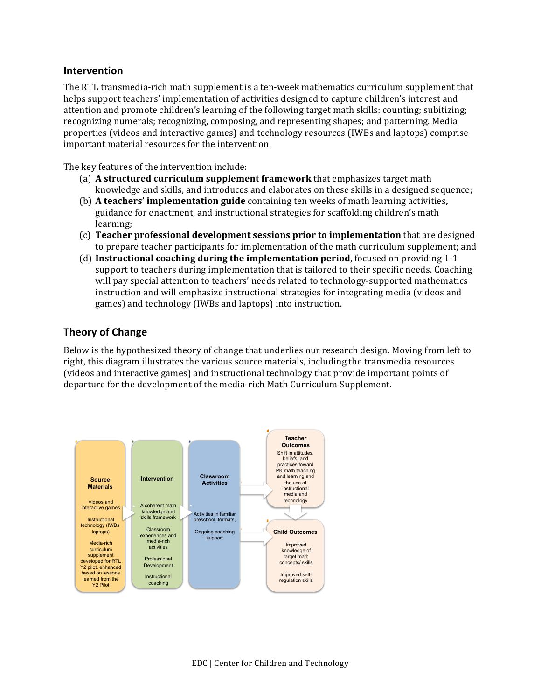## **Intervention**

The RTL transmedia-rich math supplement is a ten-week mathematics curriculum supplement that helps support teachers' implementation of activities designed to capture children's interest and attention and promote children's learning of the following target math skills: counting; subitizing; recognizing numerals; recognizing, composing, and representing shapes; and patterning. Media properties (videos and interactive games) and technology resources (IWBs and laptops) comprise important material resources for the intervention.

The key features of the intervention include:

- (a) **A** structured curriculum supplement framework that emphasizes target math knowledge and skills, and introduces and elaborates on these skills in a designed sequence;
- (b) **A** teachers' implementation guide containing ten weeks of math learning activities, guidance for enactment, and instructional strategies for scaffolding children's math learning;
- (c) **Teacher professional development sessions prior to implementation** that are designed to prepare teacher participants for implementation of the math curriculum supplement; and
- (d) Instructional coaching during the implementation period, focused on providing 1-1 support to teachers during implementation that is tailored to their specific needs. Coaching will pay special attention to teachers' needs related to technology-supported mathematics instruction and will emphasize instructional strategies for integrating media (videos and games) and technology (IWBs and laptops) into instruction.

# **Theory of Change**

Below is the hypothesized theory of change that underlies our research design. Moving from left to right, this diagram illustrates the various source materials, including the transmedia resources (videos and interactive games) and instructional technology that provide important points of departure for the development of the media-rich Math Curriculum Supplement.

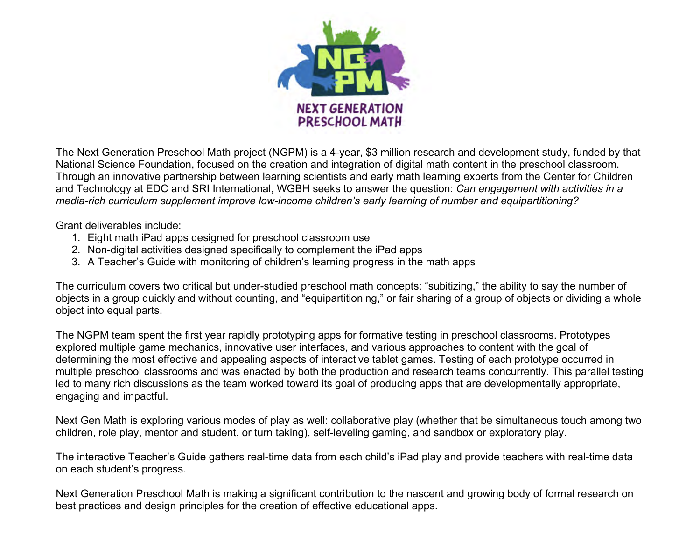

The Next Generation Preschool Math project (NGPM) is a 4-year, \$3 million research and development study, funded by that National Science Foundation, focused on the creation and integration of digital math content in the preschool classroom. Through an innovative partnership between learning scientists and early math learning experts from the Center for Children and Technology at EDC and SRI International, WGBH seeks to answer the question: *Can engagement with activities in a media-rich curriculum supplement improve low-income children's early learning of number and equipartitioning?*

Grant deliverables include:

- 1. Eight math iPad apps designed for preschool classroom use
- 2. Non-digital activities designed specifically to complement the iPad apps
- 3. A Teacher's Guide with monitoring of children's learning progress in the math apps

The curriculum covers two critical but under-studied preschool math concepts: "subitizing," the ability to say the number of objects in a group quickly and without counting, and "equipartitioning," or fair sharing of a group of objects or dividing a whole object into equal parts.

The NGPM team spent the first year rapidly prototyping apps for formative testing in preschool classrooms. Prototypes explored multiple game mechanics, innovative user interfaces, and various approaches to content with the goal of determining the most effective and appealing aspects of interactive tablet games. Testing of each prototype occurred in multiple preschool classrooms and was enacted by both the production and research teams concurrently. This parallel testing led to many rich discussions as the team worked toward its goal of producing apps that are developmentally appropriate, engaging and impactful.

Next Gen Math is exploring various modes of play as well: collaborative play (whether that be simultaneous touch among two children, role play, mentor and student, or turn taking), self-leveling gaming, and sandbox or exploratory play.

The interactive Teacher's Guide gathers real-time data from each child's iPad play and provide teachers with real-time data on each student's progress.

Next Generation Preschool Math is making a significant contribution to the nascent and growing body of formal research on best practices and design principles for the creation of effective educational apps.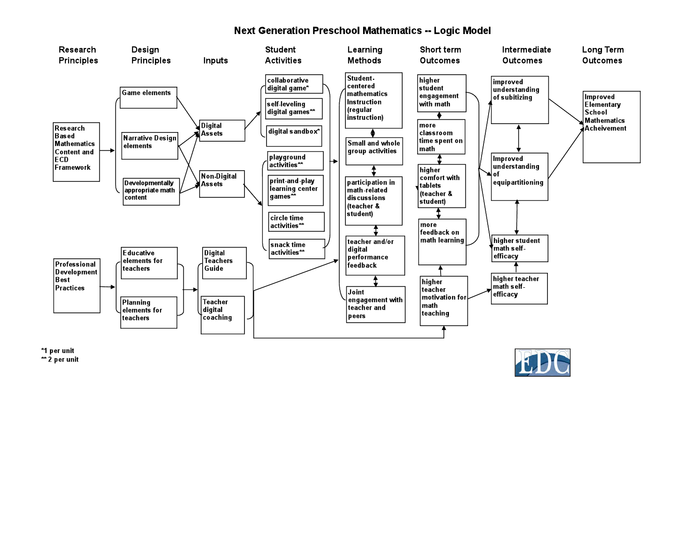## Next Generation Preschool Mathematics -- Logic Model





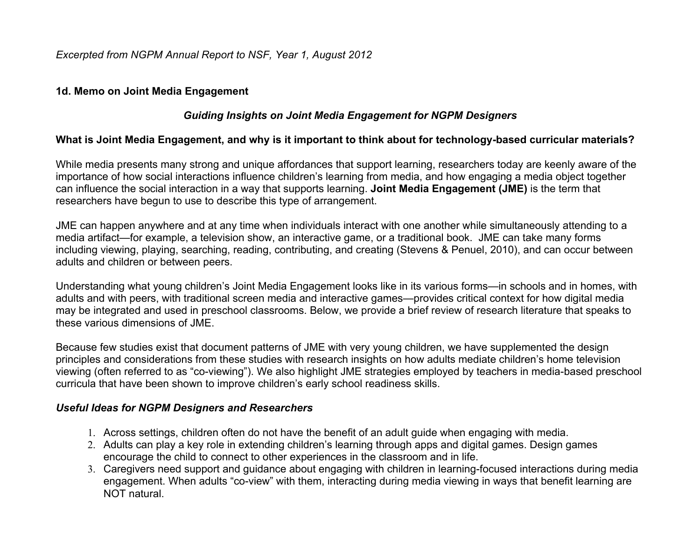# **1d. Memo on Joint Media Engagement**

# *Guiding Insights on Joint Media Engagement for NGPM Designers*

# **What is Joint Media Engagement, and why is it important to think about for technology-based curricular materials?**

While media presents many strong and unique affordances that support learning, researchers today are keenly aware of the importance of how social interactions influence children's learning from media, and how engaging a media object together can influence the social interaction in a way that supports learning. **Joint Media Engagement (JME)** is the term that researchers have begun to use to describe this type of arrangement.

JME can happen anywhere and at any time when individuals interact with one another while simultaneously attending to a media artifact—for example, a television show, an interactive game, or a traditional book. JME can take many forms including viewing, playing, searching, reading, contributing, and creating (Stevens & Penuel, 2010), and can occur between adults and children or between peers.

Understanding what young children's Joint Media Engagement looks like in its various forms—in schools and in homes, with adults and with peers, with traditional screen media and interactive games—provides critical context for how digital media may be integrated and used in preschool classrooms. Below, we provide a brief review of research literature that speaks to these various dimensions of JME.

Because few studies exist that document patterns of JME with very young children, we have supplemented the design principles and considerations from these studies with research insights on how adults mediate children's home television viewing (often referred to as "co-viewing"). We also highlight JME strategies employed by teachers in media-based preschool curricula that have been shown to improve children's early school readiness skills.

# *Useful Ideas for NGPM Designers and Researchers*

- 1. Across settings, children often do not have the benefit of an adult guide when engaging with media.
- 2. Adults can play a key role in extending children's learning through apps and digital games. Design games encourage the child to connect to other experiences in the classroom and in life.
- 3. Caregivers need support and guidance about engaging with children in learning-focused interactions during media engagement. When adults "co-view" with them, interacting during media viewing in ways that benefit learning are NOT natural.